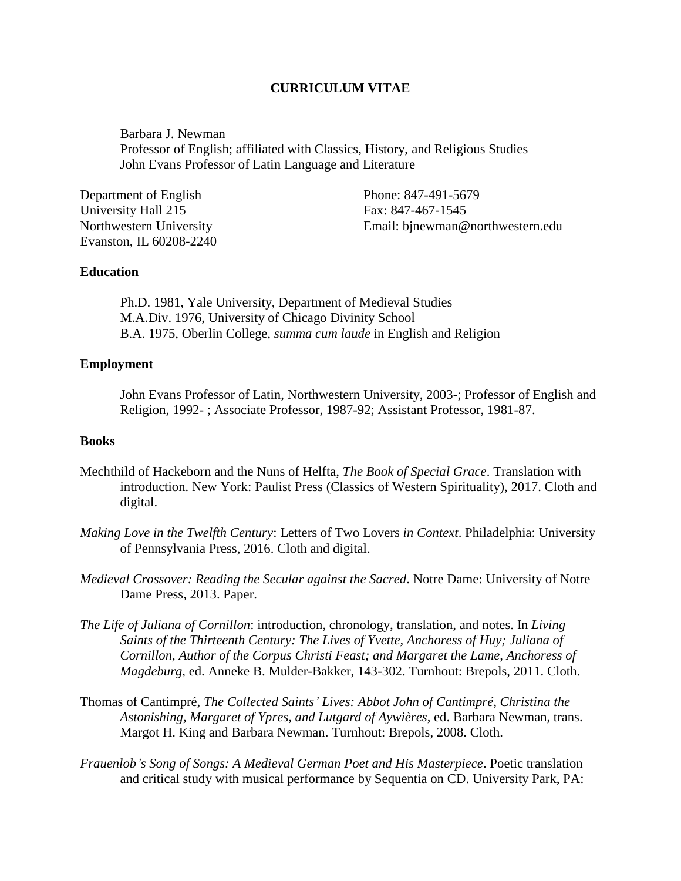# **CURRICULUM VITAE**

Barbara J. Newman Professor of English; affiliated with Classics, History, and Religious Studies John Evans Professor of Latin Language and Literature

| Department of English   | Phone: 847-491-5679              |
|-------------------------|----------------------------------|
| University Hall 215     | Fax: 847-467-1545                |
| Northwestern University | Email: binewman@northwestern.edu |
| Evanston, IL 60208-2240 |                                  |

## **Education**

Ph.D. 1981, Yale University, Department of Medieval Studies M.A.Div. 1976, University of Chicago Divinity School B.A. 1975, Oberlin College, *summa cum laude* in English and Religion

## **Employment**

John Evans Professor of Latin, Northwestern University, 2003-; Professor of English and Religion, 1992- ; Associate Professor, 1987-92; Assistant Professor, 1981-87.

## **Books**

- Mechthild of Hackeborn and the Nuns of Helfta, *The Book of Special Grace*. Translation with introduction. New York: Paulist Press (Classics of Western Spirituality), 2017. Cloth and digital.
- *Making Love in the Twelfth Century*: Letters of Two Lovers *in Context*. Philadelphia: University of Pennsylvania Press, 2016. Cloth and digital.
- *Medieval Crossover: Reading the Secular against the Sacred*. Notre Dame: University of Notre Dame Press, 2013. Paper.
- *The Life of Juliana of Cornillon*: introduction, chronology, translation, and notes. In *Living Saints of the Thirteenth Century: The Lives of Yvette, Anchoress of Huy; Juliana of Cornillon, Author of the Corpus Christi Feast; and Margaret the Lame, Anchoress of Magdeburg*, ed. Anneke B. Mulder-Bakker, 143-302. Turnhout: Brepols, 2011. Cloth.
- Thomas of Cantimpré, *The Collected Saints' Lives: Abbot John of Cantimpré, Christina the Astonishing, Margaret of Ypres, and Lutgard of Aywières*, ed. Barbara Newman, trans. Margot H. King and Barbara Newman. Turnhout: Brepols, 2008. Cloth.
- *Frauenlob's Song of Songs: A Medieval German Poet and His Masterpiece*. Poetic translation and critical study with musical performance by Sequentia on CD. University Park, PA: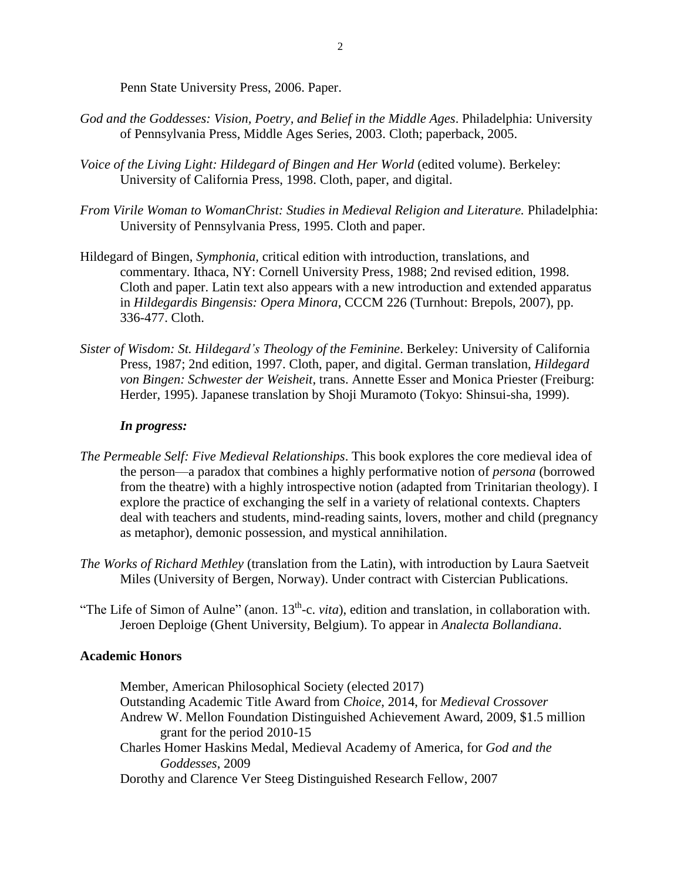Penn State University Press, 2006. Paper.

- *God and the Goddesses: Vision, Poetry, and Belief in the Middle Ages*. Philadelphia: University of Pennsylvania Press, Middle Ages Series, 2003. Cloth; paperback, 2005.
- *Voice of the Living Light: Hildegard of Bingen and Her World* (edited volume). Berkeley: University of California Press, 1998. Cloth, paper, and digital.
- *From Virile Woman to WomanChrist: Studies in Medieval Religion and Literature.* Philadelphia: University of Pennsylvania Press, 1995. Cloth and paper.
- Hildegard of Bingen, *Symphonia,* critical edition with introduction, translations, and commentary. Ithaca, NY: Cornell University Press, 1988; 2nd revised edition, 1998. Cloth and paper. Latin text also appears with a new introduction and extended apparatus in *Hildegardis Bingensis: Opera Minora*, CCCM 226 (Turnhout: Brepols, 2007), pp. 336-477. Cloth.
- *Sister of Wisdom: St. Hildegard's Theology of the Feminine*. Berkeley: University of California Press, 1987; 2nd edition, 1997. Cloth, paper, and digital. German translation, *Hildegard von Bingen: Schwester der Weisheit*, trans. Annette Esser and Monica Priester (Freiburg: Herder, 1995). Japanese translation by Shoji Muramoto (Tokyo: Shinsui-sha, 1999).

# *In progress:*

- *The Permeable Self: Five Medieval Relationships*. This book explores the core medieval idea of the person—a paradox that combines a highly performative notion of *persona* (borrowed from the theatre) with a highly introspective notion (adapted from Trinitarian theology). I explore the practice of exchanging the self in a variety of relational contexts. Chapters deal with teachers and students, mind-reading saints, lovers, mother and child (pregnancy as metaphor), demonic possession, and mystical annihilation.
- *The Works of Richard Methley* (translation from the Latin), with introduction by Laura Saetveit Miles (University of Bergen, Norway). Under contract with Cistercian Publications.
- "The Life of Simon of Aulne" (anon.  $13<sup>th</sup>$ -c. *vita*), edition and translation, in collaboration with. Jeroen Deploige (Ghent University, Belgium). To appear in *Analecta Bollandiana*.

# **Academic Honors**

Member, American Philosophical Society (elected 2017) Outstanding Academic Title Award from *Choice*, 2014, for *Medieval Crossover* Andrew W. Mellon Foundation Distinguished Achievement Award, 2009, \$1.5 million grant for the period 2010-15 Charles Homer Haskins Medal, Medieval Academy of America, for *God and the Goddesses*, 2009

Dorothy and Clarence Ver Steeg Distinguished Research Fellow, 2007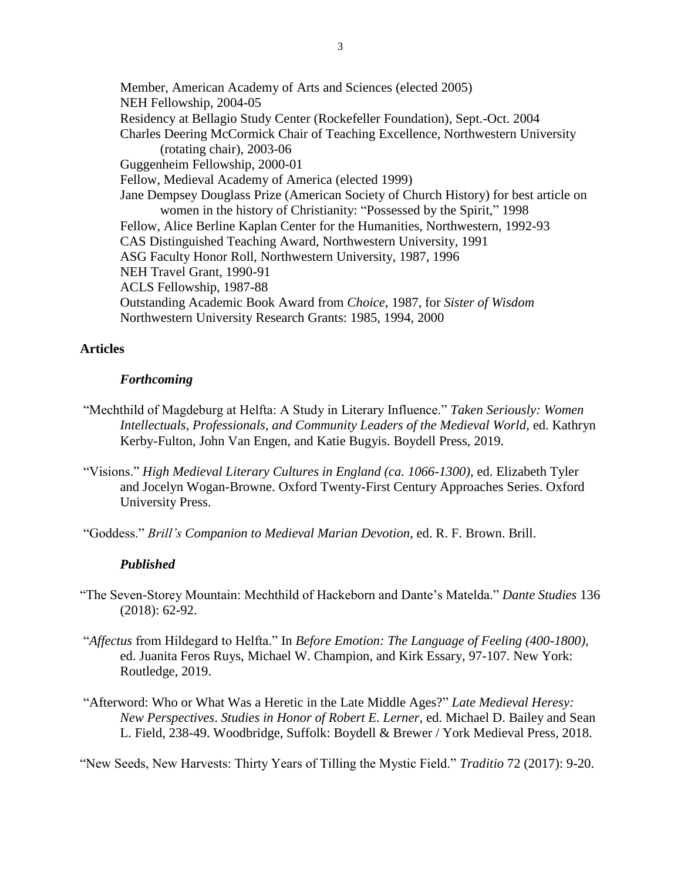Member, American Academy of Arts and Sciences (elected 2005) NEH Fellowship, 2004-05 Residency at Bellagio Study Center (Rockefeller Foundation), Sept.-Oct. 2004 Charles Deering McCormick Chair of Teaching Excellence, Northwestern University (rotating chair), 2003-06 Guggenheim Fellowship, 2000-01 Fellow, Medieval Academy of America (elected 1999) Jane Dempsey Douglass Prize (American Society of Church History) for best article on women in the history of Christianity: "Possessed by the Spirit," 1998 Fellow, Alice Berline Kaplan Center for the Humanities, Northwestern, 1992-93 CAS Distinguished Teaching Award, Northwestern University, 1991 ASG Faculty Honor Roll, Northwestern University, 1987, 1996 NEH Travel Grant, 1990-91 ACLS Fellowship, 1987-88 Outstanding Academic Book Award from *Choice*, 1987, for *Sister of Wisdom* Northwestern University Research Grants: 1985, 1994, 2000

## **Articles**

### *Forthcoming*

- "Mechthild of Magdeburg at Helfta: A Study in Literary Influence." *Taken Seriously: Women Intellectuals, Professionals, and Community Leaders of the Medieval World*, ed. Kathryn Kerby-Fulton, John Van Engen, and Katie Bugyis. Boydell Press, 2019.
- "Visions." *High Medieval Literary Cultures in England (ca. 1066-1300)*, ed. Elizabeth Tyler and Jocelyn Wogan-Browne. Oxford Twenty-First Century Approaches Series. Oxford University Press.
- "Goddess." *Brill's Companion to Medieval Marian Devotion*, ed. R. F. Brown. Brill.

#### *Published*

- "The Seven-Storey Mountain: Mechthild of Hackeborn and Dante's Matelda." *Dante Studies* 136 (2018): 62-92.
- "*Affectus* from Hildegard to Helfta." In *Before Emotion: The Language of Feeling (400-1800)*, ed. Juanita Feros Ruys, Michael W. Champion, and Kirk Essary, 97-107. New York: Routledge, 2019.
- "Afterword: Who or What Was a Heretic in the Late Middle Ages?" *Late Medieval Heresy: New Perspectives*. *Studies in Honor of Robert E. Lerner*, ed. Michael D. Bailey and Sean L. Field, 238-49. Woodbridge, Suffolk: Boydell & Brewer / York Medieval Press, 2018.

"New Seeds, New Harvests: Thirty Years of Tilling the Mystic Field." *Traditio* 72 (2017): 9-20.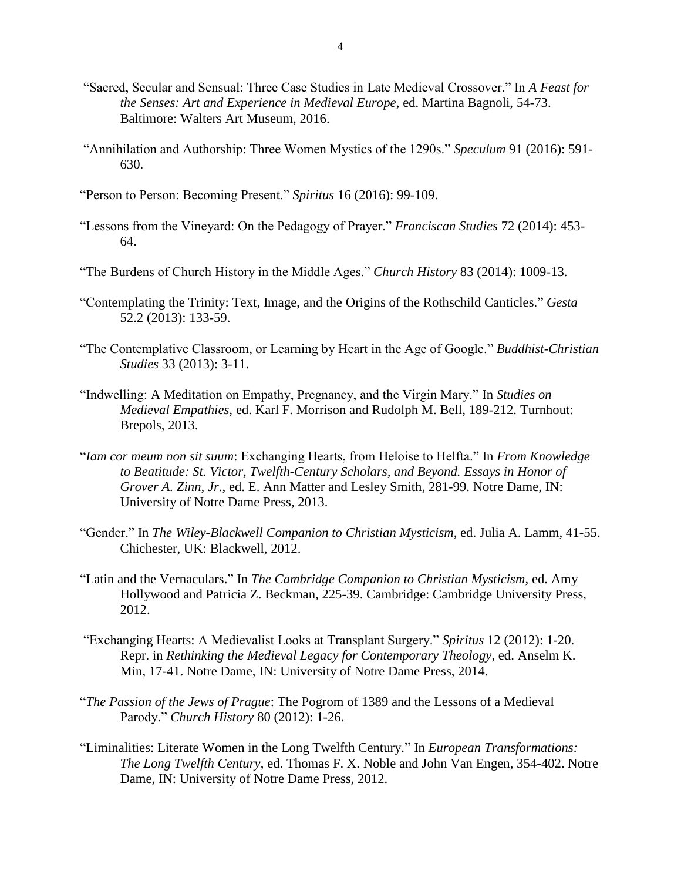- "Sacred, Secular and Sensual: Three Case Studies in Late Medieval Crossover." In *A Feast for the Senses: Art and Experience in Medieval Europe*, ed. Martina Bagnoli, 54-73. Baltimore: Walters Art Museum, 2016.
- "Annihilation and Authorship: Three Women Mystics of the 1290s." *Speculum* 91 (2016): 591- 630.
- "Person to Person: Becoming Present." *Spiritus* 16 (2016): 99-109.
- "Lessons from the Vineyard: On the Pedagogy of Prayer." *Franciscan Studies* 72 (2014): 453- 64.
- "The Burdens of Church History in the Middle Ages." *Church History* 83 (2014): 1009-13.
- "Contemplating the Trinity: Text, Image, and the Origins of the Rothschild Canticles." *Gesta*  52.2 (2013): 133-59.
- "The Contemplative Classroom, or Learning by Heart in the Age of Google." *Buddhist-Christian Studies* 33 (2013): 3-11.
- "Indwelling: A Meditation on Empathy, Pregnancy, and the Virgin Mary." In *Studies on Medieval Empathies*, ed. Karl F. Morrison and Rudolph M. Bell, 189-212. Turnhout: Brepols, 2013.
- "*Iam cor meum non sit suum*: Exchanging Hearts, from Heloise to Helfta." In *From Knowledge to Beatitude: St. Victor, Twelfth-Century Scholars, and Beyond. Essays in Honor of Grover A. Zinn, Jr*., ed. E. Ann Matter and Lesley Smith, 281-99. Notre Dame, IN: University of Notre Dame Press, 2013.
- "Gender." In *The Wiley-Blackwell Companion to Christian Mysticism*, ed. Julia A. Lamm, 41-55. Chichester, UK: Blackwell, 2012.
- "Latin and the Vernaculars." In *The Cambridge Companion to Christian Mysticism*, ed. Amy Hollywood and Patricia Z. Beckman, 225-39. Cambridge: Cambridge University Press, 2012.
- "Exchanging Hearts: A Medievalist Looks at Transplant Surgery." *Spiritus* 12 (2012): 1-20. Repr. in *Rethinking the Medieval Legacy for Contemporary Theology*, ed. Anselm K. Min, 17-41. Notre Dame, IN: University of Notre Dame Press, 2014.
- "*The Passion of the Jews of Prague*: The Pogrom of 1389 and the Lessons of a Medieval Parody." *Church History* 80 (2012): 1-26.
- "Liminalities: Literate Women in the Long Twelfth Century." In *European Transformations: The Long Twelfth Century*, ed. Thomas F. X. Noble and John Van Engen, 354-402. Notre Dame, IN: University of Notre Dame Press, 2012.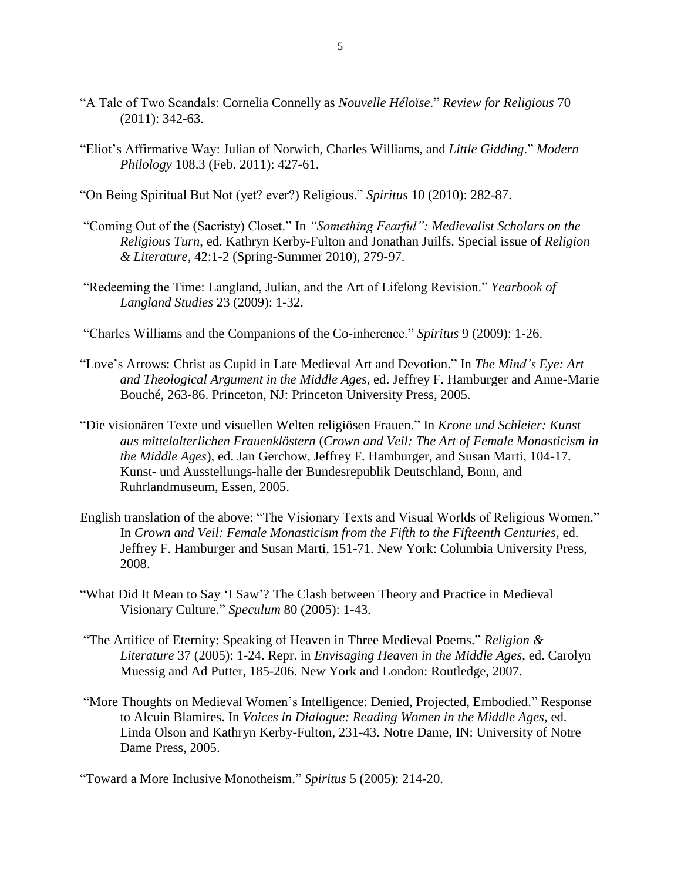- "A Tale of Two Scandals: Cornelia Connelly as *Nouvelle Héloïse*." *Review for Religious* 70 (2011): 342-63.
- "Eliot's Affirmative Way: Julian of Norwich, Charles Williams, and *Little Gidding*." *Modern Philology* 108.3 (Feb. 2011): 427-61.
- "On Being Spiritual But Not (yet? ever?) Religious." *Spiritus* 10 (2010): 282-87.
- "Coming Out of the (Sacristy) Closet." In *"Something Fearful": Medievalist Scholars on the Religious Turn*, ed. Kathryn Kerby-Fulton and Jonathan Juilfs. Special issue of *Religion & Literature*, 42:1-2 (Spring-Summer 2010), 279-97.
- "Redeeming the Time: Langland, Julian, and the Art of Lifelong Revision." *Yearbook of Langland Studies* 23 (2009): 1-32.
- "Charles Williams and the Companions of the Co-inherence." *Spiritus* 9 (2009): 1-26.
- "Love's Arrows: Christ as Cupid in Late Medieval Art and Devotion." In *The Mind's Eye: Art and Theological Argument in the Middle Ages*, ed. Jeffrey F. Hamburger and Anne-Marie Bouché, 263-86. Princeton, NJ: Princeton University Press, 2005.
- "Die visionären Texte und visuellen Welten religiösen Frauen." In *Krone und Schleier: Kunst aus mittelalterlichen Frauenklöstern* (*Crown and Veil: The Art of Female Monasticism in the Middle Ages*), ed. Jan Gerchow, Jeffrey F. Hamburger, and Susan Marti, 104-17. Kunst- und Ausstellungs-halle der Bundesrepublik Deutschland, Bonn, and Ruhrlandmuseum, Essen, 2005.
- English translation of the above: "The Visionary Texts and Visual Worlds of Religious Women." In *Crown and Veil: Female Monasticism from the Fifth to the Fifteenth Centuries*, ed. Jeffrey F. Hamburger and Susan Marti, 151-71. New York: Columbia University Press, 2008.
- "What Did It Mean to Say 'I Saw'? The Clash between Theory and Practice in Medieval Visionary Culture." *Speculum* 80 (2005): 1-43.
- "The Artifice of Eternity: Speaking of Heaven in Three Medieval Poems." *Religion & Literature* 37 (2005): 1-24. Repr. in *Envisaging Heaven in the Middle Ages*, ed. Carolyn Muessig and Ad Putter, 185-206. New York and London: Routledge, 2007.
- "More Thoughts on Medieval Women's Intelligence: Denied, Projected, Embodied." Response to Alcuin Blamires. In *Voices in Dialogue: Reading Women in the Middle Ages*, ed. Linda Olson and Kathryn Kerby-Fulton, 231-43. Notre Dame, IN: University of Notre Dame Press, 2005.

"Toward a More Inclusive Monotheism." *Spiritus* 5 (2005): 214-20.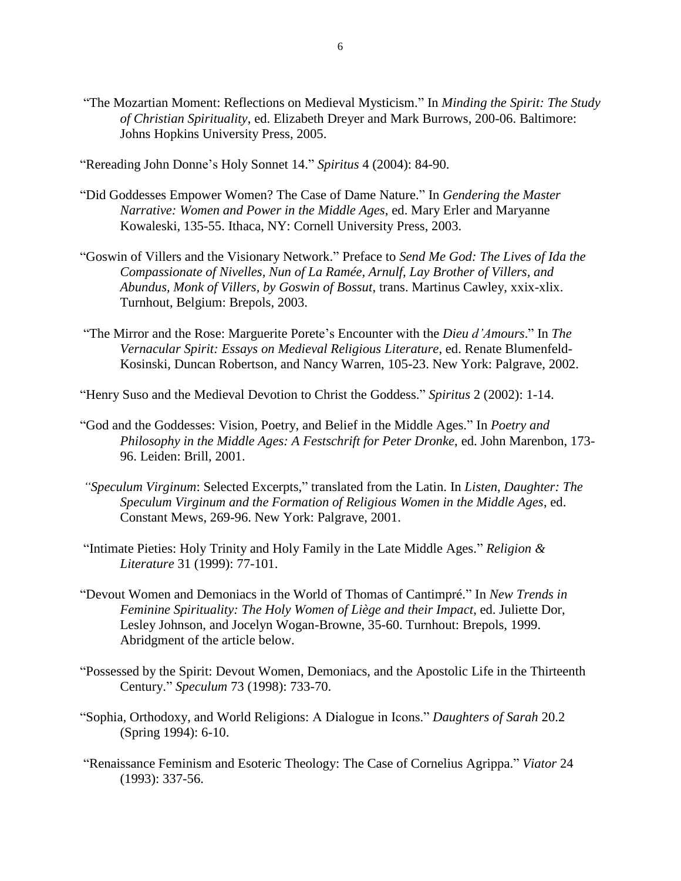- "The Mozartian Moment: Reflections on Medieval Mysticism." In *Minding the Spirit: The Study of Christian Spirituality*, ed. Elizabeth Dreyer and Mark Burrows, 200-06. Baltimore: Johns Hopkins University Press, 2005.
- "Rereading John Donne's Holy Sonnet 14." *Spiritus* 4 (2004): 84-90.
- "Did Goddesses Empower Women? The Case of Dame Nature." In *Gendering the Master Narrative: Women and Power in the Middle Ages*, ed. Mary Erler and Maryanne Kowaleski, 135-55. Ithaca, NY: Cornell University Press, 2003.
- "Goswin of Villers and the Visionary Network." Preface to *Send Me God: The Lives of Ida the Compassionate of Nivelles, Nun of La Ramée, Arnulf, Lay Brother of Villers, and Abundus, Monk of Villers, by Goswin of Bossut*, trans. Martinus Cawley, xxix-xlix. Turnhout, Belgium: Brepols, 2003.
- "The Mirror and the Rose: Marguerite Porete's Encounter with the *Dieu d'Amours*." In *The Vernacular Spirit: Essays on Medieval Religious Literature*, ed. Renate Blumenfeld-Kosinski, Duncan Robertson, and Nancy Warren, 105-23. New York: Palgrave, 2002.

"Henry Suso and the Medieval Devotion to Christ the Goddess." *Spiritus* 2 (2002): 1-14.

- "God and the Goddesses: Vision, Poetry, and Belief in the Middle Ages." In *Poetry and Philosophy in the Middle Ages: A Festschrift for Peter Dronke*, ed. John Marenbon, 173- 96. Leiden: Brill, 2001.
- *"Speculum Virginum*: Selected Excerpts," translated from the Latin. In *Listen, Daughter: The Speculum Virginum and the Formation of Religious Women in the Middle Ages*, ed. Constant Mews, 269-96. New York: Palgrave, 2001.
- "Intimate Pieties: Holy Trinity and Holy Family in the Late Middle Ages." *Religion & Literature* 31 (1999): 77-101.
- "Devout Women and Demoniacs in the World of Thomas of Cantimpré." In *New Trends in Feminine Spirituality: The Holy Women of Liège and their Impact*, ed. Juliette Dor, Lesley Johnson, and Jocelyn Wogan-Browne, 35-60. Turnhout: Brepols, 1999. Abridgment of the article below.
- "Possessed by the Spirit: Devout Women, Demoniacs, and the Apostolic Life in the Thirteenth Century." *Speculum* 73 (1998): 733-70.
- "Sophia, Orthodoxy, and World Religions: A Dialogue in Icons." *Daughters of Sarah* 20.2 (Spring 1994): 6-10.
- "Renaissance Feminism and Esoteric Theology: The Case of Cornelius Agrippa." *Viator* 24 (1993): 337-56.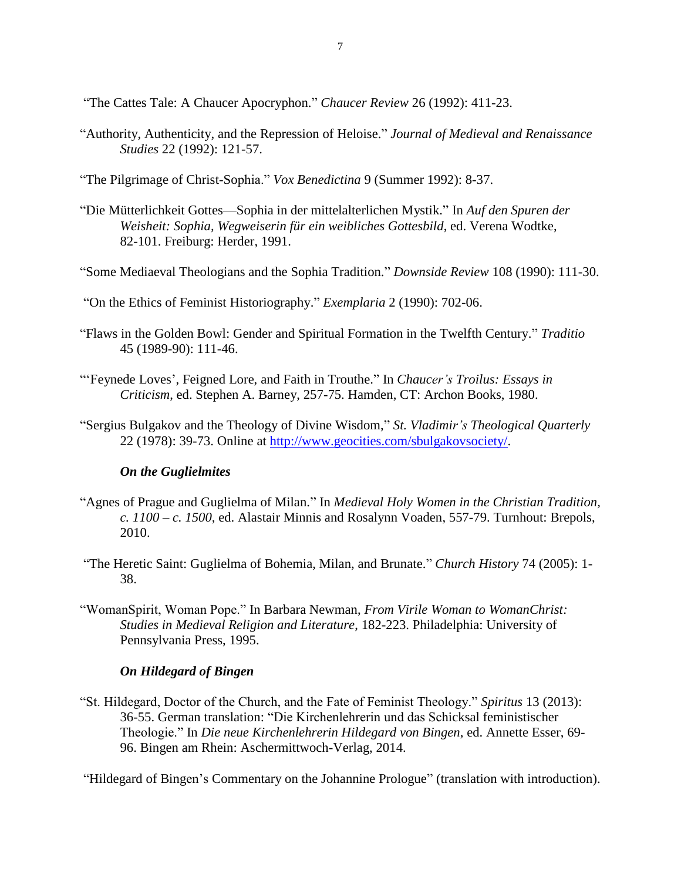"The Cattes Tale: A Chaucer Apocryphon." *Chaucer Review* 26 (1992): 411-23.

- "Authority, Authenticity, and the Repression of Heloise." *Journal of Medieval and Renaissance Studies* 22 (1992): 121-57.
- "The Pilgrimage of Christ-Sophia." *Vox Benedictina* 9 (Summer 1992): 8-37.
- "Die Mütterlichkeit Gottes—Sophia in der mittelalterlichen Mystik." In *Auf den Spuren der Weisheit: Sophia, Wegweiserin für ein weibliches Gottesbild*, ed. Verena Wodtke, 82-101. Freiburg: Herder, 1991.
- "Some Mediaeval Theologians and the Sophia Tradition." *Downside Review* 108 (1990): 111-30.
- "On the Ethics of Feminist Historiography." *Exemplaria* 2 (1990): 702-06.
- "Flaws in the Golden Bowl: Gender and Spiritual Formation in the Twelfth Century." *Traditio* 45 (1989-90): 111-46.
- "'Feynede Loves', Feigned Lore, and Faith in Trouthe." In *Chaucer's Troilus: Essays in Criticism*, ed. Stephen A. Barney, 257-75. Hamden, CT: Archon Books, 1980.
- "Sergius Bulgakov and the Theology of Divine Wisdom," *St. Vladimir's Theological Quarterly* 22 (1978): 39-73. Online at [http://www.geocities.com/sbulgakovsociety/.](http://www.geocities.com/sbulgakovsociety/)

# *On the Guglielmites*

- "Agnes of Prague and Guglielma of Milan." In *Medieval Holy Women in the Christian Tradition, c. 1100 – c. 1500*, ed. Alastair Minnis and Rosalynn Voaden, 557-79. Turnhout: Brepols, 2010.
- "The Heretic Saint: Guglielma of Bohemia, Milan, and Brunate." *Church History* 74 (2005): 1- 38.
- "WomanSpirit, Woman Pope." In Barbara Newman, *From Virile Woman to WomanChrist: Studies in Medieval Religion and Literature*, 182-223. Philadelphia: University of Pennsylvania Press, 1995.

# *On Hildegard of Bingen*

"St. Hildegard, Doctor of the Church, and the Fate of Feminist Theology." *Spiritus* 13 (2013): 36-55. German translation: "Die Kirchenlehrerin und das Schicksal feministischer Theologie." In *Die neue Kirchenlehrerin Hildegard von Bingen*, ed. Annette Esser, 69- 96. Bingen am Rhein: Aschermittwoch-Verlag, 2014.

"Hildegard of Bingen's Commentary on the Johannine Prologue" (translation with introduction).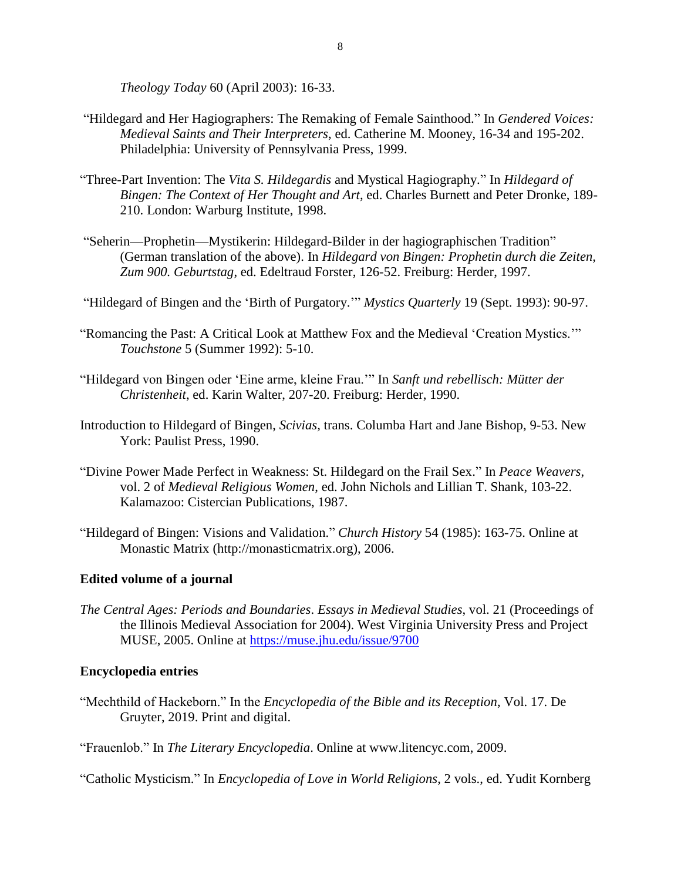*Theology Today* 60 (April 2003): 16-33.

- "Hildegard and Her Hagiographers: The Remaking of Female Sainthood." In *Gendered Voices: Medieval Saints and Their Interpreters*, ed. Catherine M. Mooney, 16-34 and 195-202. Philadelphia: University of Pennsylvania Press, 1999.
- "Three-Part Invention: The *Vita S. Hildegardis* and Mystical Hagiography." In *Hildegard of Bingen: The Context of Her Thought and Art*, ed. Charles Burnett and Peter Dronke, 189- 210. London: Warburg Institute, 1998.
- "Seherin—Prophetin—Mystikerin: Hildegard-Bilder in der hagiographischen Tradition" (German translation of the above). In *Hildegard von Bingen: Prophetin durch die Zeiten, Zum 900. Geburtstag*, ed. Edeltraud Forster, 126-52. Freiburg: Herder, 1997.
- "Hildegard of Bingen and the 'Birth of Purgatory.'" *Mystics Quarterly* 19 (Sept. 1993): 90-97.
- "Romancing the Past: A Critical Look at Matthew Fox and the Medieval 'Creation Mystics.'" *Touchstone* 5 (Summer 1992): 5-10.
- "Hildegard von Bingen oder 'Eine arme, kleine Frau.'" In *Sanft und rebellisch: Mütter der Christenheit*, ed. Karin Walter, 207-20. Freiburg: Herder, 1990.
- Introduction to Hildegard of Bingen, *Scivias,* trans. Columba Hart and Jane Bishop, 9-53. New York: Paulist Press, 1990.
- "Divine Power Made Perfect in Weakness: St. Hildegard on the Frail Sex." In *Peace Weavers*, vol. 2 of *Medieval Religious Women*, ed. John Nichols and Lillian T. Shank, 103-22. Kalamazoo: Cistercian Publications, 1987.
- "Hildegard of Bingen: Visions and Validation." *Church History* 54 (1985): 163-75. Online at Monastic Matrix (http://monasticmatrix.org), 2006.

# **Edited volume of a journal**

*The Central Ages: Periods and Boundaries*. *Essays in Medieval Studies*, vol. 21 (Proceedings of the Illinois Medieval Association for 2004). West Virginia University Press and Project MUSE, 2005. Online at<https://muse.jhu.edu/issue/9700>

# **Encyclopedia entries**

- "Mechthild of Hackeborn." In the *Encyclopedia of the Bible and its Reception*, Vol. 17. De Gruyter, 2019. Print and digital.
- "Frauenlob." In *The Literary Encyclopedia*. Online at www.litencyc.com, 2009.

"Catholic Mysticism." In *Encyclopedia of Love in World Religions*, 2 vols., ed. Yudit Kornberg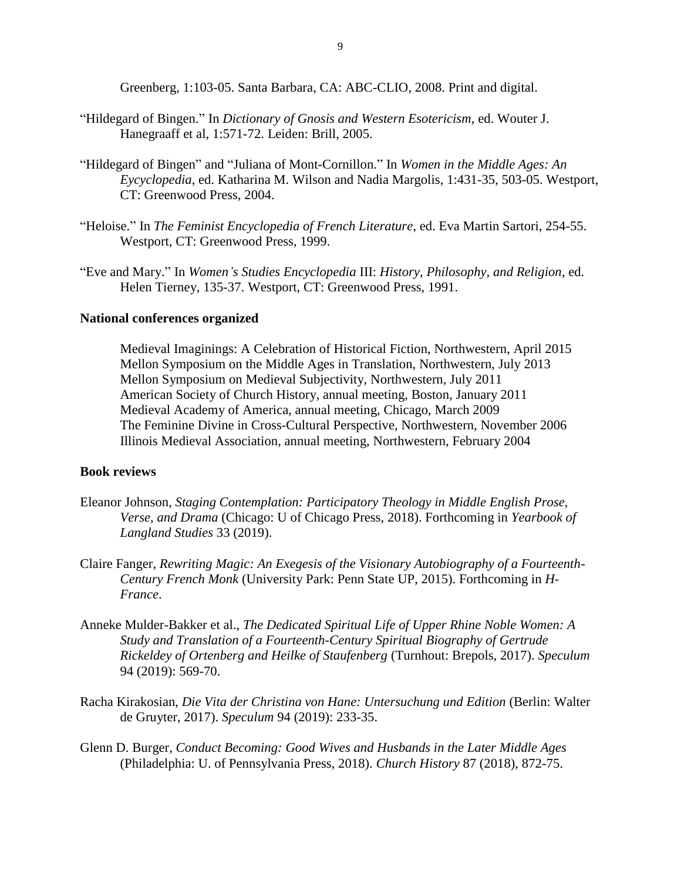Greenberg, 1:103-05. Santa Barbara, CA: ABC-CLIO, 2008. Print and digital.

- "Hildegard of Bingen." In *Dictionary of Gnosis and Western Esotericism*, ed. Wouter J. Hanegraaff et al, 1:571-72. Leiden: Brill, 2005.
- "Hildegard of Bingen" and "Juliana of Mont-Cornillon." In *Women in the Middle Ages: An Eycyclopedia*, ed. Katharina M. Wilson and Nadia Margolis, 1:431-35, 503-05. Westport, CT: Greenwood Press, 2004.
- "Heloise." In *The Feminist Encyclopedia of French Literature*, ed. Eva Martin Sartori, 254-55. Westport, CT: Greenwood Press, 1999.
- "Eve and Mary." In *Women's Studies Encyclopedia* III: *History, Philosophy, and Religion*, ed. Helen Tierney, 135-37. Westport, CT: Greenwood Press, 1991.

### **National conferences organized**

Medieval Imaginings: A Celebration of Historical Fiction, Northwestern, April 2015 Mellon Symposium on the Middle Ages in Translation, Northwestern, July 2013 Mellon Symposium on Medieval Subjectivity, Northwestern, July 2011 American Society of Church History, annual meeting, Boston, January 2011 Medieval Academy of America, annual meeting, Chicago, March 2009 The Feminine Divine in Cross-Cultural Perspective, Northwestern, November 2006 Illinois Medieval Association, annual meeting, Northwestern, February 2004

### **Book reviews**

- Eleanor Johnson, *Staging Contemplation: Participatory Theology in Middle English Prose, Verse, and Drama* (Chicago: U of Chicago Press, 2018). Forthcoming in *Yearbook of Langland Studies* 33 (2019).
- Claire Fanger, *Rewriting Magic: An Exegesis of the Visionary Autobiography of a Fourteenth-Century French Monk* (University Park: Penn State UP, 2015). Forthcoming in *H-France*.
- Anneke Mulder-Bakker et al., *The Dedicated Spiritual Life of Upper Rhine Noble Women: A Study and Translation of a Fourteenth-Century Spiritual Biography of Gertrude Rickeldey of Ortenberg and Heilke of Staufenberg* (Turnhout: Brepols, 2017). *Speculum* 94 (2019): 569-70.
- Racha Kirakosian, *Die Vita der Christina von Hane: Untersuchung und Edition* (Berlin: Walter de Gruyter, 2017). *Speculum* 94 (2019): 233-35.
- Glenn D. Burger, *Conduct Becoming: Good Wives and Husbands in the Later Middle Ages*  (Philadelphia: U. of Pennsylvania Press, 2018). *Church History* 87 (2018), 872-75.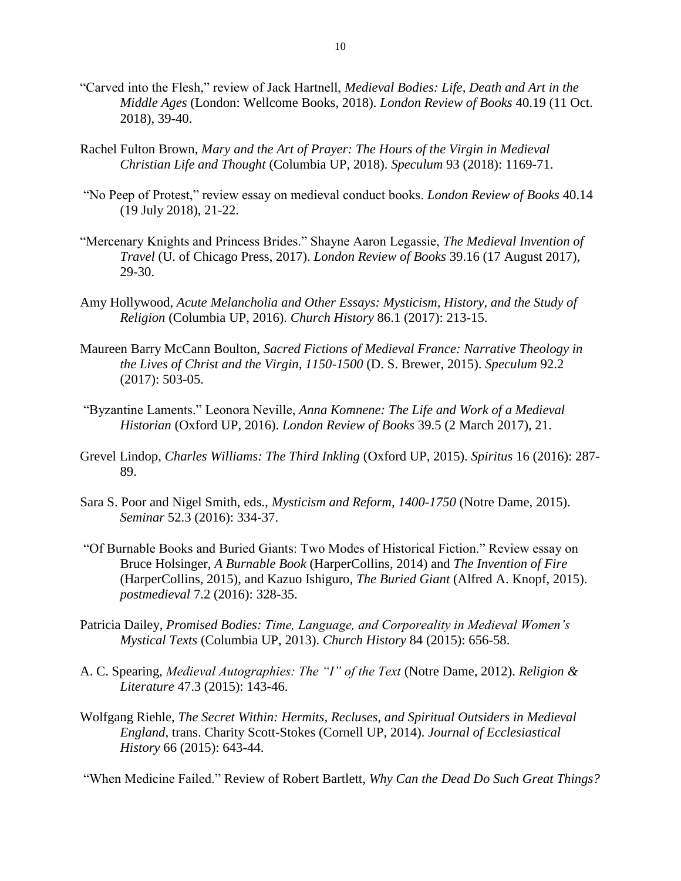- "Carved into the Flesh," review of Jack Hartnell, *Medieval Bodies: Life, Death and Art in the Middle Ages* (London: Wellcome Books, 2018). *London Review of Books* 40.19 (11 Oct. 2018), 39-40.
- Rachel Fulton Brown, *Mary and the Art of Prayer: The Hours of the Virgin in Medieval Christian Life and Thought* (Columbia UP, 2018). *Speculum* 93 (2018): 1169-71.
- "No Peep of Protest," review essay on medieval conduct books. *London Review of Books* 40.14 (19 July 2018), 21-22.
- "Mercenary Knights and Princess Brides." Shayne Aaron Legassie, *The Medieval Invention of Travel* (U. of Chicago Press, 2017). *London Review of Books* 39.16 (17 August 2017), 29-30.
- Amy Hollywood, *Acute Melancholia and Other Essays: Mysticism, History, and the Study of Religion* (Columbia UP, 2016). *Church History* 86.1 (2017): 213-15.
- Maureen Barry McCann Boulton, *Sacred Fictions of Medieval France: Narrative Theology in the Lives of Christ and the Virgin, 1150-1500* (D. S. Brewer, 2015). *Speculum* 92.2 (2017): 503-05.
- "Byzantine Laments." Leonora Neville, *Anna Komnene: The Life and Work of a Medieval Historian* (Oxford UP, 2016). *London Review of Books* 39.5 (2 March 2017), 21.
- Grevel Lindop, *Charles Williams: The Third Inkling* (Oxford UP, 2015). *Spiritus* 16 (2016): 287- 89.
- Sara S. Poor and Nigel Smith, eds., *Mysticism and Reform, 1400-1750* (Notre Dame, 2015). *Seminar* 52.3 (2016): 334-37.
- "Of Burnable Books and Buried Giants: Two Modes of Historical Fiction." Review essay on Bruce Holsinger, *A Burnable Book* (HarperCollins, 2014) and *The Invention of Fire*  (HarperCollins, 2015), and Kazuo Ishiguro, *The Buried Giant* (Alfred A. Knopf, 2015). *postmedieval* 7.2 (2016): 328-35.
- Patricia Dailey, *Promised Bodies: Time, Language, and Corporeality in Medieval Women's Mystical Texts* (Columbia UP, 2013). *Church History* 84 (2015): 656-58.
- A. C. Spearing, *Medieval Autographies: The "I" of the Text* (Notre Dame, 2012). *Religion & Literature* 47.3 (2015): 143-46.
- Wolfgang Riehle, *The Secret Within: Hermits, Recluses, and Spiritual Outsiders in Medieval England*, trans. Charity Scott-Stokes (Cornell UP, 2014). *Journal of Ecclesiastical History* 66 (2015): 643-44.

"When Medicine Failed." Review of Robert Bartlett, *Why Can the Dead Do Such Great Things?*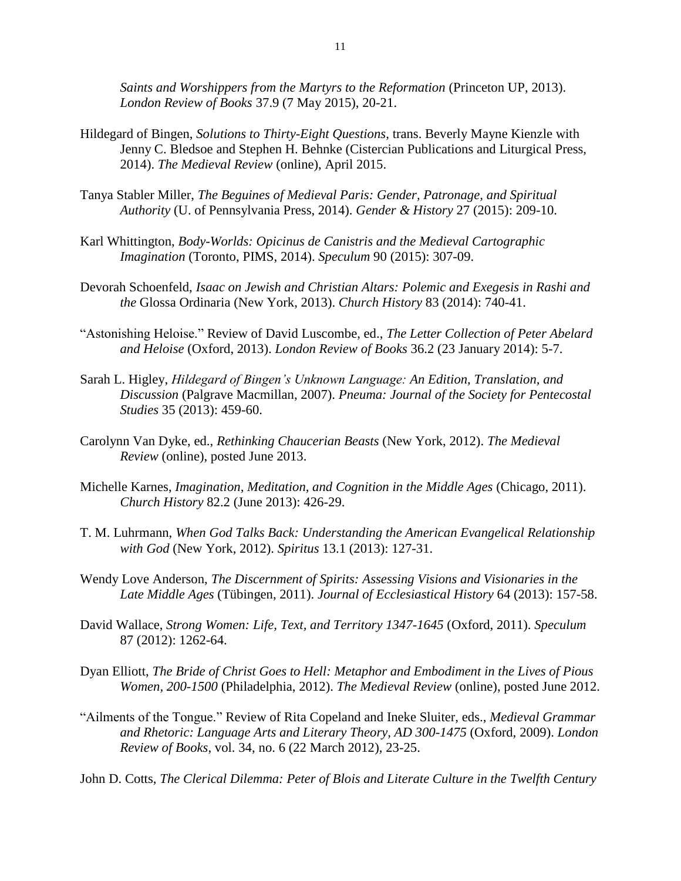*Saints and Worshippers from the Martyrs to the Reformation* (Princeton UP, 2013). *London Review of Books* 37.9 (7 May 2015), 20-21.

- Hildegard of Bingen, *Solutions to Thirty-Eight Questions*, trans. Beverly Mayne Kienzle with Jenny C. Bledsoe and Stephen H. Behnke (Cistercian Publications and Liturgical Press, 2014). *The Medieval Review* (online), April 2015.
- Tanya Stabler Miller, *The Beguines of Medieval Paris: Gender, Patronage, and Spiritual Authority* (U. of Pennsylvania Press, 2014). *Gender & History* 27 (2015): 209-10.
- Karl Whittington, *Body-Worlds: Opicinus de Canistris and the Medieval Cartographic Imagination* (Toronto, PIMS, 2014). *Speculum* 90 (2015): 307-09.
- Devorah Schoenfeld, *Isaac on Jewish and Christian Altars: Polemic and Exegesis in Rashi and the* Glossa Ordinaria (New York, 2013). *Church History* 83 (2014): 740-41.
- "Astonishing Heloise." Review of David Luscombe, ed., *The Letter Collection of Peter Abelard and Heloise* (Oxford, 2013). *London Review of Books* 36.2 (23 January 2014): 5-7.
- Sarah L. Higley, *Hildegard of Bingen's Unknown Language: An Edition, Translation, and Discussion* (Palgrave Macmillan, 2007). *Pneuma: Journal of the Society for Pentecostal Studies* 35 (2013): 459-60.
- Carolynn Van Dyke, ed., *Rethinking Chaucerian Beasts* (New York, 2012). *The Medieval Review* (online), posted June 2013.
- Michelle Karnes, *Imagination, Meditation, and Cognition in the Middle Ages* (Chicago, 2011). *Church History* 82.2 (June 2013): 426-29.
- T. M. Luhrmann, *When God Talks Back: Understanding the American Evangelical Relationship with God* (New York, 2012). *Spiritus* 13.1 (2013): 127-31.
- Wendy Love Anderson, *The Discernment of Spirits: Assessing Visions and Visionaries in the Late Middle Ages* (Tübingen, 2011). *Journal of Ecclesiastical History* 64 (2013): 157-58.
- David Wallace, *Strong Women: Life, Text, and Territory 1347-1645* (Oxford, 2011). *Speculum* 87 (2012): 1262-64.
- Dyan Elliott, *The Bride of Christ Goes to Hell: Metaphor and Embodiment in the Lives of Pious Women, 200-1500* (Philadelphia, 2012). *The Medieval Review* (online), posted June 2012.
- "Ailments of the Tongue." Review of Rita Copeland and Ineke Sluiter, eds., *Medieval Grammar and Rhetoric: Language Arts and Literary Theory, AD 300-1475* (Oxford, 2009). *London Review of Books*, vol. 34, no. 6 (22 March 2012), 23-25.

John D. Cotts, *The Clerical Dilemma: Peter of Blois and Literate Culture in the Twelfth Century*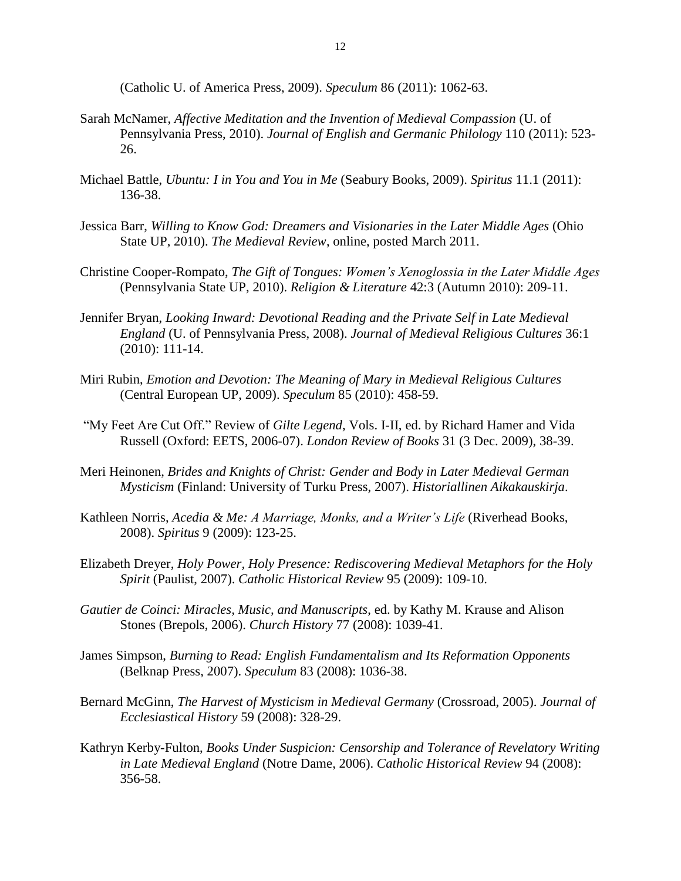(Catholic U. of America Press, 2009). *Speculum* 86 (2011): 1062-63.

- Sarah McNamer, *Affective Meditation and the Invention of Medieval Compassion* (U. of Pennsylvania Press, 2010). *Journal of English and Germanic Philology* 110 (2011): 523- 26.
- Michael Battle, *Ubuntu: I in You and You in Me* (Seabury Books, 2009). *Spiritus* 11.1 (2011): 136-38.
- Jessica Barr, *Willing to Know God: Dreamers and Visionaries in the Later Middle Ages* (Ohio State UP, 2010). *The Medieval Review*, online, posted March 2011.
- Christine Cooper-Rompato, *The Gift of Tongues: Women's Xenoglossia in the Later Middle Ages*  (Pennsylvania State UP, 2010). *Religion & Literature* 42:3 (Autumn 2010): 209-11.
- Jennifer Bryan, *Looking Inward: Devotional Reading and the Private Self in Late Medieval England* (U. of Pennsylvania Press, 2008). *Journal of Medieval Religious Cultures* 36:1 (2010): 111-14.
- Miri Rubin, *Emotion and Devotion: The Meaning of Mary in Medieval Religious Cultures* (Central European UP, 2009). *Speculum* 85 (2010): 458-59.
- "My Feet Are Cut Off." Review of *Gilte Legend*, Vols. I-II, ed. by Richard Hamer and Vida Russell (Oxford: EETS, 2006-07). *London Review of Books* 31 (3 Dec. 2009), 38-39.
- Meri Heinonen, *Brides and Knights of Christ: Gender and Body in Later Medieval German Mysticism* (Finland: University of Turku Press, 2007). *Historiallinen Aikakauskirja*.
- Kathleen Norris, *Acedia & Me: A Marriage, Monks, and a Writer's Life* (Riverhead Books, 2008). *Spiritus* 9 (2009): 123-25.
- Elizabeth Dreyer, *Holy Power, Holy Presence: Rediscovering Medieval Metaphors for the Holy Spirit* (Paulist, 2007). *Catholic Historical Review* 95 (2009): 109-10.
- *Gautier de Coinci: Miracles, Music, and Manuscripts*, ed. by Kathy M. Krause and Alison Stones (Brepols, 2006). *Church History* 77 (2008): 1039-41.
- James Simpson, *Burning to Read: English Fundamentalism and Its Reformation Opponents* (Belknap Press, 2007). *Speculum* 83 (2008): 1036-38.
- Bernard McGinn, *The Harvest of Mysticism in Medieval Germany* (Crossroad, 2005). *Journal of Ecclesiastical History* 59 (2008): 328-29.
- Kathryn Kerby-Fulton, *Books Under Suspicion: Censorship and Tolerance of Revelatory Writing in Late Medieval England* (Notre Dame, 2006). *Catholic Historical Review* 94 (2008): 356-58.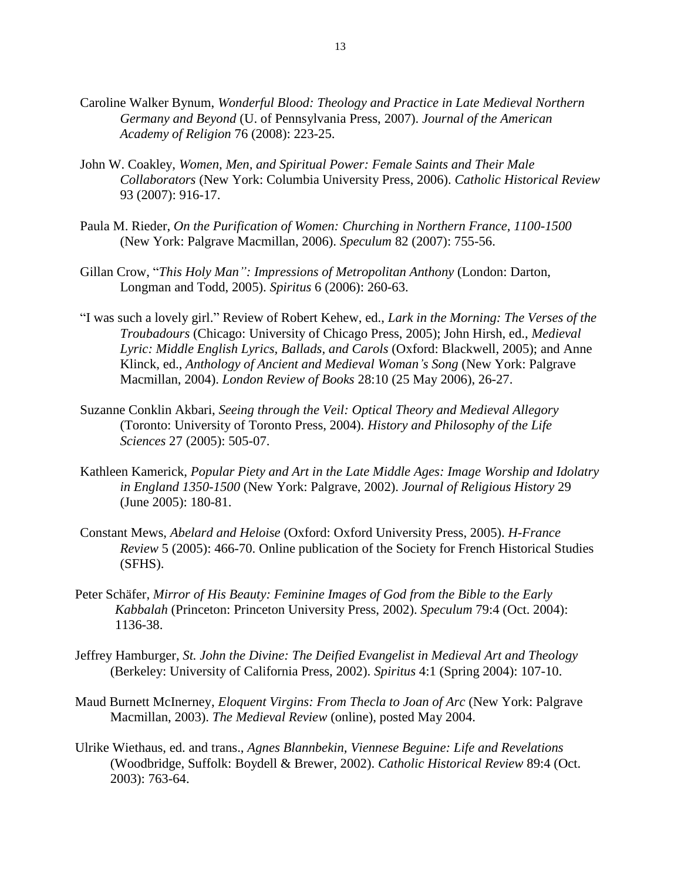- Caroline Walker Bynum, *Wonderful Blood: Theology and Practice in Late Medieval Northern Germany and Beyond* (U. of Pennsylvania Press, 2007). *Journal of the American Academy of Religion* 76 (2008): 223-25.
- John W. Coakley, *Women, Men, and Spiritual Power: Female Saints and Their Male Collaborators* (New York: Columbia University Press, 2006). *Catholic Historical Review* 93 (2007): 916-17.
- Paula M. Rieder, *On the Purification of Women: Churching in Northern France, 1100-1500* (New York: Palgrave Macmillan, 2006). *Speculum* 82 (2007): 755-56.
- Gillan Crow, "*This Holy Man": Impressions of Metropolitan Anthony* (London: Darton, Longman and Todd, 2005). *Spiritus* 6 (2006): 260-63.
- "I was such a lovely girl." Review of Robert Kehew, ed., *Lark in the Morning: The Verses of the Troubadours* (Chicago: University of Chicago Press, 2005); John Hirsh, ed., *Medieval Lyric: Middle English Lyrics, Ballads, and Carols* (Oxford: Blackwell, 2005); and Anne Klinck, ed., *Anthology of Ancient and Medieval Woman's Song* (New York: Palgrave Macmillan, 2004). *London Review of Books* 28:10 (25 May 2006), 26-27.
- Suzanne Conklin Akbari, *Seeing through the Veil: Optical Theory and Medieval Allegory* (Toronto: University of Toronto Press, 2004). *History and Philosophy of the Life Sciences* 27 (2005): 505-07.
- Kathleen Kamerick, *Popular Piety and Art in the Late Middle Ages: Image Worship and Idolatry in England 1350-1500* (New York: Palgrave, 2002). *Journal of Religious History* 29 (June 2005): 180-81.
- Constant Mews, *Abelard and Heloise* (Oxford: Oxford University Press, 2005). *H-France Review* 5 (2005): 466-70. Online publication of the Society for French Historical Studies (SFHS).
- Peter Schäfer, *Mirror of His Beauty: Feminine Images of God from the Bible to the Early Kabbalah* (Princeton: Princeton University Press, 2002). *Speculum* 79:4 (Oct. 2004): 1136-38.
- Jeffrey Hamburger, *St. John the Divine: The Deified Evangelist in Medieval Art and Theology* (Berkeley: University of California Press, 2002). *Spiritus* 4:1 (Spring 2004): 107-10.
- Maud Burnett McInerney, *Eloquent Virgins: From Thecla to Joan of Arc* (New York: Palgrave Macmillan, 2003). *The Medieval Review* (online), posted May 2004.
- Ulrike Wiethaus, ed. and trans., *Agnes Blannbekin, Viennese Beguine: Life and Revelations* (Woodbridge, Suffolk: Boydell & Brewer, 2002). *Catholic Historical Review* 89:4 (Oct. 2003): 763-64.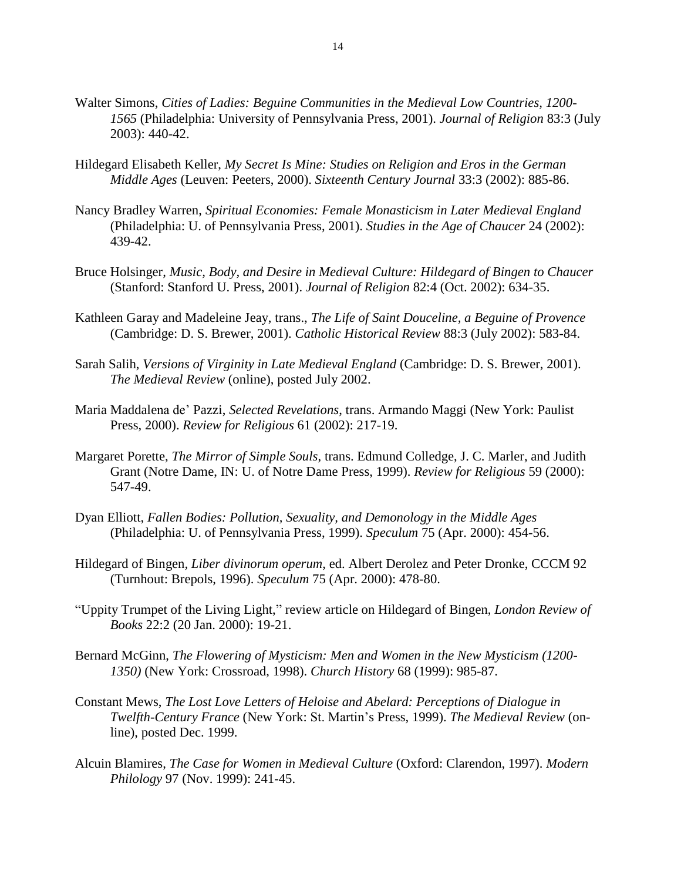- Walter Simons, *Cities of Ladies: Beguine Communities in the Medieval Low Countries, 1200- 1565* (Philadelphia: University of Pennsylvania Press, 2001). *Journal of Religion* 83:3 (July 2003): 440-42.
- Hildegard Elisabeth Keller, *My Secret Is Mine: Studies on Religion and Eros in the German Middle Ages* (Leuven: Peeters, 2000). *Sixteenth Century Journal* 33:3 (2002): 885-86.
- Nancy Bradley Warren, *Spiritual Economies: Female Monasticism in Later Medieval England* (Philadelphia: U. of Pennsylvania Press, 2001). *Studies in the Age of Chaucer* 24 (2002): 439-42.
- Bruce Holsinger, *Music, Body, and Desire in Medieval Culture: Hildegard of Bingen to Chaucer* (Stanford: Stanford U. Press, 2001). *Journal of Religion* 82:4 (Oct. 2002): 634-35.
- Kathleen Garay and Madeleine Jeay, trans., *The Life of Saint Douceline, a Beguine of Provence* (Cambridge: D. S. Brewer, 2001). *Catholic Historical Review* 88:3 (July 2002): 583-84.
- Sarah Salih, *Versions of Virginity in Late Medieval England* (Cambridge: D. S. Brewer, 2001). *The Medieval Review* (online), posted July 2002.
- Maria Maddalena de' Pazzi, *Selected Revelations*, trans. Armando Maggi (New York: Paulist Press, 2000). *Review for Religious* 61 (2002): 217-19.
- Margaret Porette, *The Mirror of Simple Souls*, trans. Edmund Colledge, J. C. Marler, and Judith Grant (Notre Dame, IN: U. of Notre Dame Press, 1999). *Review for Religious* 59 (2000): 547-49.
- Dyan Elliott, *Fallen Bodies: Pollution, Sexuality, and Demonology in the Middle Ages* (Philadelphia: U. of Pennsylvania Press, 1999). *Speculum* 75 (Apr. 2000): 454-56.
- Hildegard of Bingen*, Liber divinorum operum*, ed. Albert Derolez and Peter Dronke, CCCM 92 (Turnhout: Brepols, 1996). *Speculum* 75 (Apr. 2000): 478-80.
- "Uppity Trumpet of the Living Light," review article on Hildegard of Bingen, *London Review of Books* 22:2 (20 Jan. 2000): 19-21.
- Bernard McGinn, *The Flowering of Mysticism: Men and Women in the New Mysticism (1200- 1350)* (New York: Crossroad, 1998). *Church History* 68 (1999): 985-87.
- Constant Mews, *The Lost Love Letters of Heloise and Abelard: Perceptions of Dialogue in Twelfth-Century France* (New York: St. Martin's Press, 1999). *The Medieval Review* (online), posted Dec. 1999.
- Alcuin Blamires, *The Case for Women in Medieval Culture* (Oxford: Clarendon, 1997). *Modern Philology* 97 (Nov. 1999): 241-45.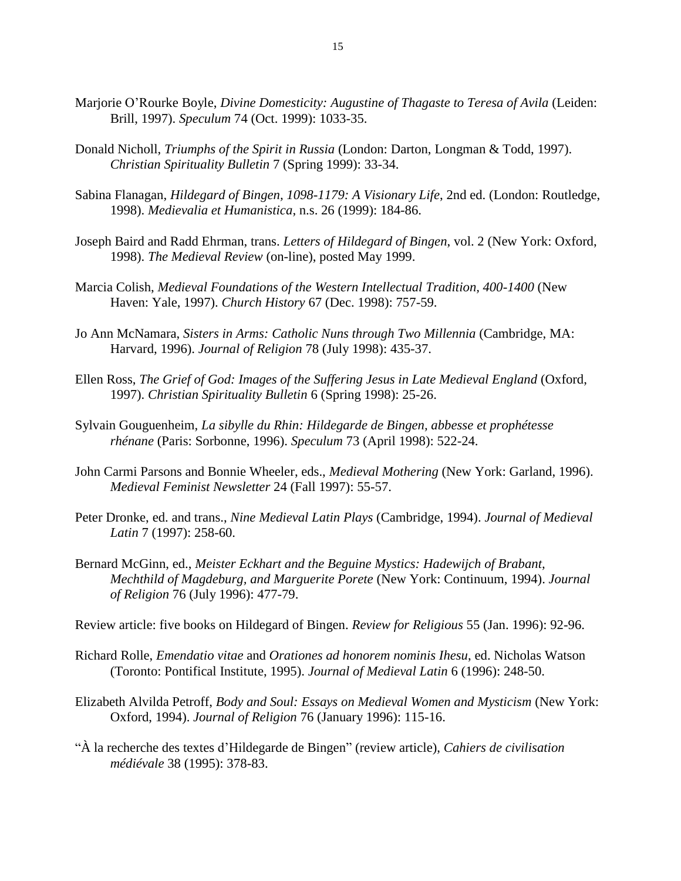- Marjorie O'Rourke Boyle, *Divine Domesticity: Augustine of Thagaste to Teresa of Avila* (Leiden: Brill, 1997). *Speculum* 74 (Oct. 1999): 1033-35.
- Donald Nicholl, *Triumphs of the Spirit in Russia* (London: Darton, Longman & Todd, 1997). *Christian Spirituality Bulletin* 7 (Spring 1999): 33-34.
- Sabina Flanagan, *Hildegard of Bingen, 1098-1179: A Visionary Life*, 2nd ed. (London: Routledge, 1998). *Medievalia et Humanistica*, n.s. 26 (1999): 184-86.
- Joseph Baird and Radd Ehrman, trans. *Letters of Hildegard of Bingen*, vol. 2 (New York: Oxford, 1998). *The Medieval Review* (on-line), posted May 1999.
- Marcia Colish, *Medieval Foundations of the Western Intellectual Tradition, 400-1400* (New Haven: Yale, 1997). *Church History* 67 (Dec. 1998): 757-59.
- Jo Ann McNamara, *Sisters in Arms: Catholic Nuns through Two Millennia* (Cambridge, MA: Harvard, 1996). *Journal of Religion* 78 (July 1998): 435-37.
- Ellen Ross, *The Grief of God: Images of the Suffering Jesus in Late Medieval England* (Oxford, 1997). *Christian Spirituality Bulletin* 6 (Spring 1998): 25-26.
- Sylvain Gouguenheim, *La sibylle du Rhin: Hildegarde de Bingen, abbesse et prophétesse rhénane* (Paris: Sorbonne, 1996). *Speculum* 73 (April 1998): 522-24.
- John Carmi Parsons and Bonnie Wheeler, eds., *Medieval Mothering* (New York: Garland, 1996). *Medieval Feminist Newsletter* 24 (Fall 1997): 55-57.
- Peter Dronke, ed. and trans., *Nine Medieval Latin Plays* (Cambridge, 1994). *Journal of Medieval Latin* 7 (1997): 258-60.
- Bernard McGinn, ed., *Meister Eckhart and the Beguine Mystics: Hadewijch of Brabant, Mechthild of Magdeburg, and Marguerite Porete* (New York: Continuum, 1994). *Journal of Religion* 76 (July 1996): 477-79.

Review article: five books on Hildegard of Bingen. *Review for Religious* 55 (Jan. 1996): 92-96.

- Richard Rolle, *Emendatio vitae* and *Orationes ad honorem nominis Ihesu*, ed. Nicholas Watson (Toronto: Pontifical Institute, 1995). *Journal of Medieval Latin* 6 (1996): 248-50.
- Elizabeth Alvilda Petroff, *Body and Soul: Essays on Medieval Women and Mysticism* (New York: Oxford, 1994). *Journal of Religion* 76 (January 1996): 115-16.
- "À la recherche des textes d'Hildegarde de Bingen" (review article), *Cahiers de civilisation médiévale* 38 (1995): 378-83.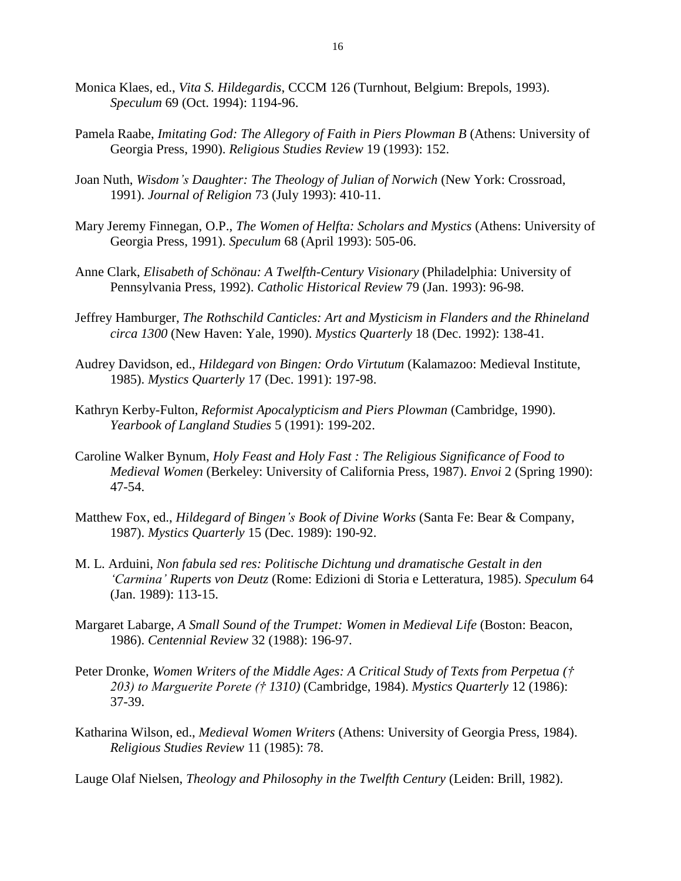- Monica Klaes, ed., *Vita S. Hildegardis*, CCCM 126 (Turnhout, Belgium: Brepols, 1993). *Speculum* 69 (Oct. 1994): 1194-96.
- Pamela Raabe, *Imitating God: The Allegory of Faith in Piers Plowman B* (Athens: University of Georgia Press, 1990). *Religious Studies Review* 19 (1993): 152.
- Joan Nuth, *Wisdom's Daughter: The Theology of Julian of Norwich* (New York: Crossroad, 1991). *Journal of Religion* 73 (July 1993): 410-11.
- Mary Jeremy Finnegan, O.P., *The Women of Helfta: Scholars and Mystics* (Athens: University of Georgia Press, 1991). *Speculum* 68 (April 1993): 505-06.
- Anne Clark, *Elisabeth of Schönau: A Twelfth-Century Visionary* (Philadelphia: University of Pennsylvania Press, 1992). *Catholic Historical Review* 79 (Jan. 1993): 96-98.
- Jeffrey Hamburger, *The Rothschild Canticles: Art and Mysticism in Flanders and the Rhineland circa 1300* (New Haven: Yale, 1990). *Mystics Quarterly* 18 (Dec. 1992): 138-41.
- Audrey Davidson, ed., *Hildegard von Bingen: Ordo Virtutum* (Kalamazoo: Medieval Institute, 1985). *Mystics Quarterly* 17 (Dec. 1991): 197-98.
- Kathryn Kerby-Fulton, *Reformist Apocalypticism and Piers Plowman* (Cambridge, 1990). *Yearbook of Langland Studies* 5 (1991): 199-202.
- Caroline Walker Bynum, *Holy Feast and Holy Fast : The Religious Significance of Food to Medieval Women* (Berkeley: University of California Press, 1987). *Envoi* 2 (Spring 1990): 47-54.
- Matthew Fox, ed., *Hildegard of Bingen's Book of Divine Works* (Santa Fe: Bear & Company, 1987). *Mystics Quarterly* 15 (Dec. 1989): 190-92.
- M. L. Arduini, *Non fabula sed res: Politische Dichtung und dramatische Gestalt in den 'Carmina' Ruperts von Deutz* (Rome: Edizioni di Storia e Letteratura, 1985). *Speculum* 64 (Jan. 1989): 113-15.
- Margaret Labarge, *A Small Sound of the Trumpet: Women in Medieval Life* (Boston: Beacon, 1986). *Centennial Review* 32 (1988): 196-97.
- Peter Dronke, *Women Writers of the Middle Ages: A Critical Study of Texts from Perpetua († 203) to Marguerite Porete († 1310)* (Cambridge, 1984). *Mystics Quarterly* 12 (1986): 37-39.
- Katharina Wilson, ed., *Medieval Women Writers* (Athens: University of Georgia Press, 1984). *Religious Studies Review* 11 (1985): 78.

Lauge Olaf Nielsen, *Theology and Philosophy in the Twelfth Century* (Leiden: Brill, 1982).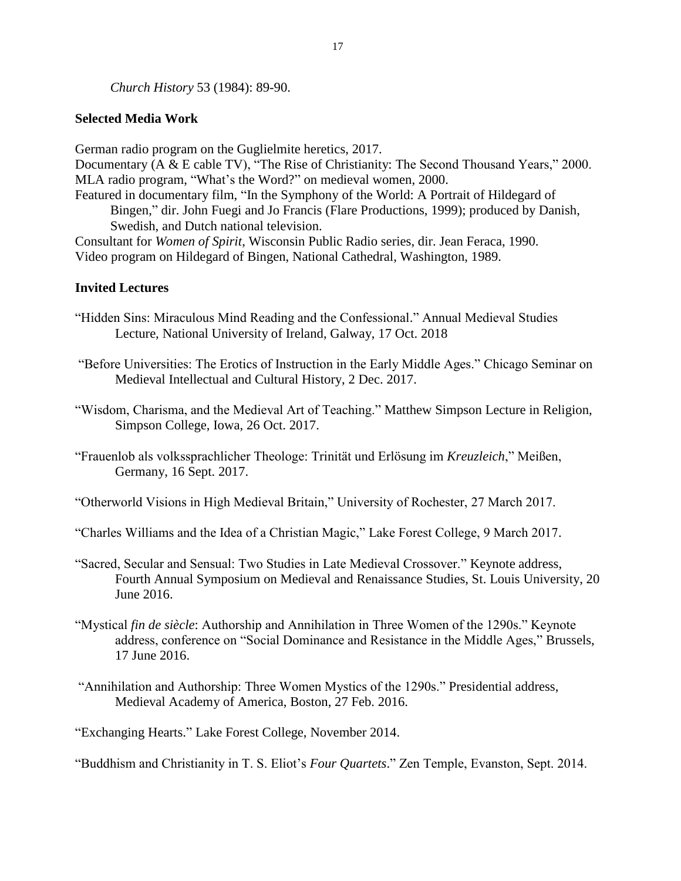*Church History* 53 (1984): 89-90.

# **Selected Media Work**

German radio program on the Guglielmite heretics, 2017. Documentary (A & E cable TV), "The Rise of Christianity: The Second Thousand Years," 2000. MLA radio program, "What's the Word?" on medieval women, 2000. Featured in documentary film, "In the Symphony of the World: A Portrait of Hildegard of Bingen," dir. John Fuegi and Jo Francis (Flare Productions, 1999); produced by Danish, Swedish, and Dutch national television. Consultant for *Women of Spirit*, Wisconsin Public Radio series, dir. Jean Feraca, 1990. Video program on Hildegard of Bingen, National Cathedral, Washington, 1989.

# **Invited Lectures**

- "Hidden Sins: Miraculous Mind Reading and the Confessional." Annual Medieval Studies Lecture, National University of Ireland, Galway, 17 Oct. 2018
- "Before Universities: The Erotics of Instruction in the Early Middle Ages." Chicago Seminar on Medieval Intellectual and Cultural History, 2 Dec. 2017.
- "Wisdom, Charisma, and the Medieval Art of Teaching." Matthew Simpson Lecture in Religion, Simpson College, Iowa, 26 Oct. 2017.
- "Frauenlob als volkssprachlicher Theologe: Trinität und Erlösung im *Kreuzleich*," Meißen, Germany, 16 Sept. 2017.
- "Otherworld Visions in High Medieval Britain," University of Rochester, 27 March 2017.

"Charles Williams and the Idea of a Christian Magic," Lake Forest College, 9 March 2017.

- "Sacred, Secular and Sensual: Two Studies in Late Medieval Crossover." Keynote address, Fourth Annual Symposium on Medieval and Renaissance Studies, St. Louis University, 20 June 2016.
- "Mystical *fin de siècle*: Authorship and Annihilation in Three Women of the 1290s." Keynote address, conference on "Social Dominance and Resistance in the Middle Ages," Brussels, 17 June 2016.
- "Annihilation and Authorship: Three Women Mystics of the 1290s." Presidential address, Medieval Academy of America, Boston, 27 Feb. 2016.

"Exchanging Hearts." Lake Forest College, November 2014.

"Buddhism and Christianity in T. S. Eliot's *Four Quartets*." Zen Temple, Evanston, Sept. 2014.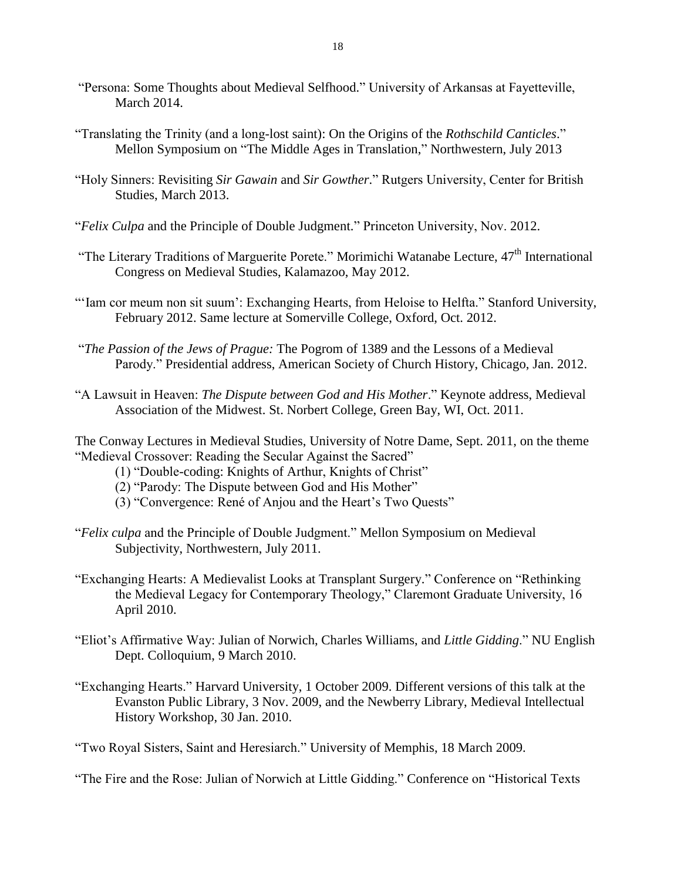- "Persona: Some Thoughts about Medieval Selfhood." University of Arkansas at Fayetteville, March 2014.
- "Translating the Trinity (and a long-lost saint): On the Origins of the *Rothschild Canticles*." Mellon Symposium on "The Middle Ages in Translation," Northwestern, July 2013
- "Holy Sinners: Revisiting *Sir Gawain* and *Sir Gowther*." Rutgers University, Center for British Studies, March 2013.
- "*Felix Culpa* and the Principle of Double Judgment." Princeton University, Nov. 2012.
- "The Literary Traditions of Marguerite Porete." Morimichi Watanabe Lecture, 47<sup>th</sup> International Congress on Medieval Studies, Kalamazoo, May 2012.
- "'Iam cor meum non sit suum': Exchanging Hearts, from Heloise to Helfta." Stanford University, February 2012. Same lecture at Somerville College, Oxford, Oct. 2012.
- "*The Passion of the Jews of Prague:* The Pogrom of 1389 and the Lessons of a Medieval Parody." Presidential address, American Society of Church History, Chicago, Jan. 2012.
- "A Lawsuit in Heaven: *The Dispute between God and His Mother*." Keynote address, Medieval Association of the Midwest. St. Norbert College, Green Bay, WI, Oct. 2011.
- The Conway Lectures in Medieval Studies, University of Notre Dame, Sept. 2011, on the theme "Medieval Crossover: Reading the Secular Against the Sacred"
	- (1) "Double-coding: Knights of Arthur, Knights of Christ"
	- (2) "Parody: The Dispute between God and His Mother"
	- (3) "Convergence: René of Anjou and the Heart's Two Quests"
- "*Felix culpa* and the Principle of Double Judgment." Mellon Symposium on Medieval Subjectivity, Northwestern, July 2011.
- "Exchanging Hearts: A Medievalist Looks at Transplant Surgery." Conference on "Rethinking the Medieval Legacy for Contemporary Theology," Claremont Graduate University, 16 April 2010.
- "Eliot's Affirmative Way: Julian of Norwich, Charles Williams, and *Little Gidding*." NU English Dept. Colloquium, 9 March 2010.
- "Exchanging Hearts." Harvard University, 1 October 2009. Different versions of this talk at the Evanston Public Library, 3 Nov. 2009, and the Newberry Library, Medieval Intellectual History Workshop, 30 Jan. 2010.

"Two Royal Sisters, Saint and Heresiarch." University of Memphis, 18 March 2009.

"The Fire and the Rose: Julian of Norwich at Little Gidding." Conference on "Historical Texts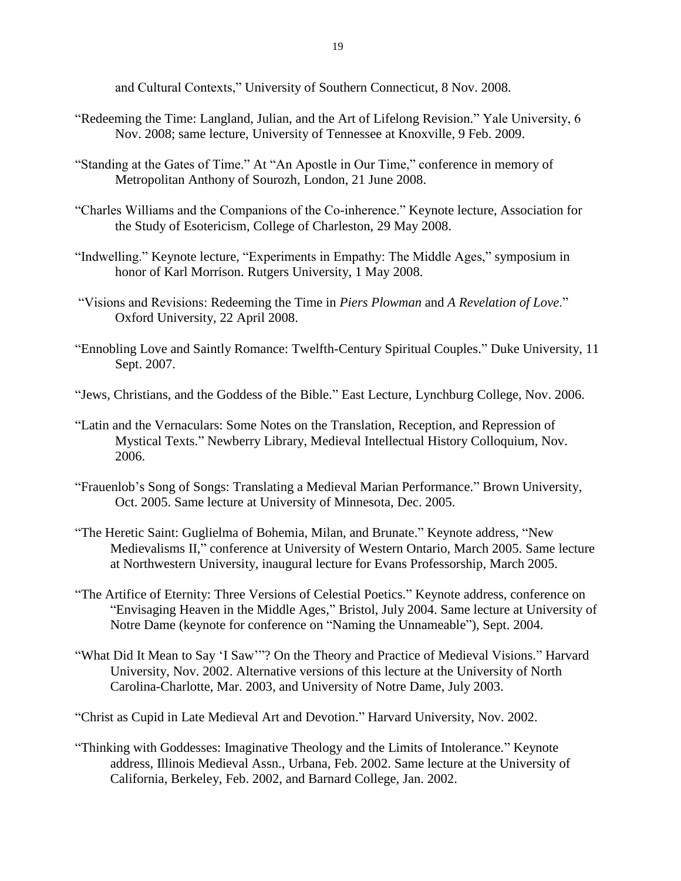and Cultural Contexts," University of Southern Connecticut, 8 Nov. 2008.

- "Redeeming the Time: Langland, Julian, and the Art of Lifelong Revision." Yale University, 6 Nov. 2008; same lecture, University of Tennessee at Knoxville, 9 Feb. 2009.
- "Standing at the Gates of Time." At "An Apostle in Our Time," conference in memory of Metropolitan Anthony of Sourozh, London, 21 June 2008.
- "Charles Williams and the Companions of the Co-inherence." Keynote lecture, Association for the Study of Esotericism, College of Charleston, 29 May 2008.
- "Indwelling." Keynote lecture, "Experiments in Empathy: The Middle Ages," symposium in honor of Karl Morrison. Rutgers University, 1 May 2008.
- "Visions and Revisions: Redeeming the Time in *Piers Plowman* and *A Revelation of Love*." Oxford University, 22 April 2008.
- "Ennobling Love and Saintly Romance: Twelfth-Century Spiritual Couples." Duke University, 11 Sept. 2007.
- "Jews, Christians, and the Goddess of the Bible." East Lecture, Lynchburg College, Nov. 2006.
- "Latin and the Vernaculars: Some Notes on the Translation, Reception, and Repression of Mystical Texts." Newberry Library, Medieval Intellectual History Colloquium, Nov. 2006.
- "Frauenlob's Song of Songs: Translating a Medieval Marian Performance." Brown University, Oct. 2005. Same lecture at University of Minnesota, Dec. 2005.
- "The Heretic Saint: Guglielma of Bohemia, Milan, and Brunate." Keynote address, "New Medievalisms II," conference at University of Western Ontario, March 2005. Same lecture at Northwestern University, inaugural lecture for Evans Professorship, March 2005.
- "The Artifice of Eternity: Three Versions of Celestial Poetics." Keynote address, conference on "Envisaging Heaven in the Middle Ages," Bristol, July 2004. Same lecture at University of Notre Dame (keynote for conference on "Naming the Unnameable"), Sept. 2004.
- "What Did It Mean to Say 'I Saw'"? On the Theory and Practice of Medieval Visions." Harvard University, Nov. 2002. Alternative versions of this lecture at the University of North Carolina-Charlotte, Mar. 2003, and University of Notre Dame, July 2003.

"Christ as Cupid in Late Medieval Art and Devotion." Harvard University, Nov. 2002.

"Thinking with Goddesses: Imaginative Theology and the Limits of Intolerance." Keynote address, Illinois Medieval Assn., Urbana, Feb. 2002. Same lecture at the University of California, Berkeley, Feb. 2002, and Barnard College, Jan. 2002.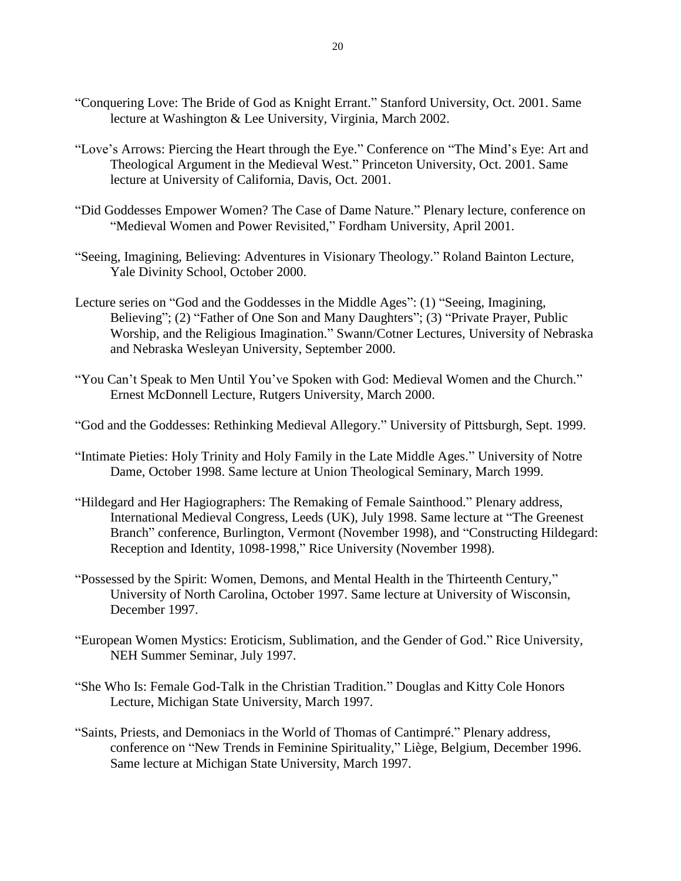- "Conquering Love: The Bride of God as Knight Errant." Stanford University, Oct. 2001. Same lecture at Washington & Lee University, Virginia, March 2002.
- "Love's Arrows: Piercing the Heart through the Eye." Conference on "The Mind's Eye: Art and Theological Argument in the Medieval West." Princeton University, Oct. 2001. Same lecture at University of California, Davis, Oct. 2001.
- "Did Goddesses Empower Women? The Case of Dame Nature." Plenary lecture, conference on "Medieval Women and Power Revisited," Fordham University, April 2001.
- "Seeing, Imagining, Believing: Adventures in Visionary Theology." Roland Bainton Lecture, Yale Divinity School, October 2000.
- Lecture series on "God and the Goddesses in the Middle Ages": (1) "Seeing, Imagining, Believing"; (2) "Father of One Son and Many Daughters"; (3) "Private Prayer, Public Worship, and the Religious Imagination." Swann/Cotner Lectures, University of Nebraska and Nebraska Wesleyan University, September 2000.
- "You Can't Speak to Men Until You've Spoken with God: Medieval Women and the Church." Ernest McDonnell Lecture, Rutgers University, March 2000.
- "God and the Goddesses: Rethinking Medieval Allegory." University of Pittsburgh, Sept. 1999.
- "Intimate Pieties: Holy Trinity and Holy Family in the Late Middle Ages." University of Notre Dame, October 1998. Same lecture at Union Theological Seminary, March 1999.
- "Hildegard and Her Hagiographers: The Remaking of Female Sainthood." Plenary address, International Medieval Congress, Leeds (UK), July 1998. Same lecture at "The Greenest Branch" conference, Burlington, Vermont (November 1998), and "Constructing Hildegard: Reception and Identity, 1098-1998," Rice University (November 1998).
- "Possessed by the Spirit: Women, Demons, and Mental Health in the Thirteenth Century," University of North Carolina, October 1997. Same lecture at University of Wisconsin, December 1997.
- "European Women Mystics: Eroticism, Sublimation, and the Gender of God." Rice University, NEH Summer Seminar, July 1997.
- "She Who Is: Female God-Talk in the Christian Tradition." Douglas and Kitty Cole Honors Lecture, Michigan State University, March 1997.
- "Saints, Priests, and Demoniacs in the World of Thomas of Cantimpré." Plenary address, conference on "New Trends in Feminine Spirituality," Liège, Belgium, December 1996. Same lecture at Michigan State University, March 1997.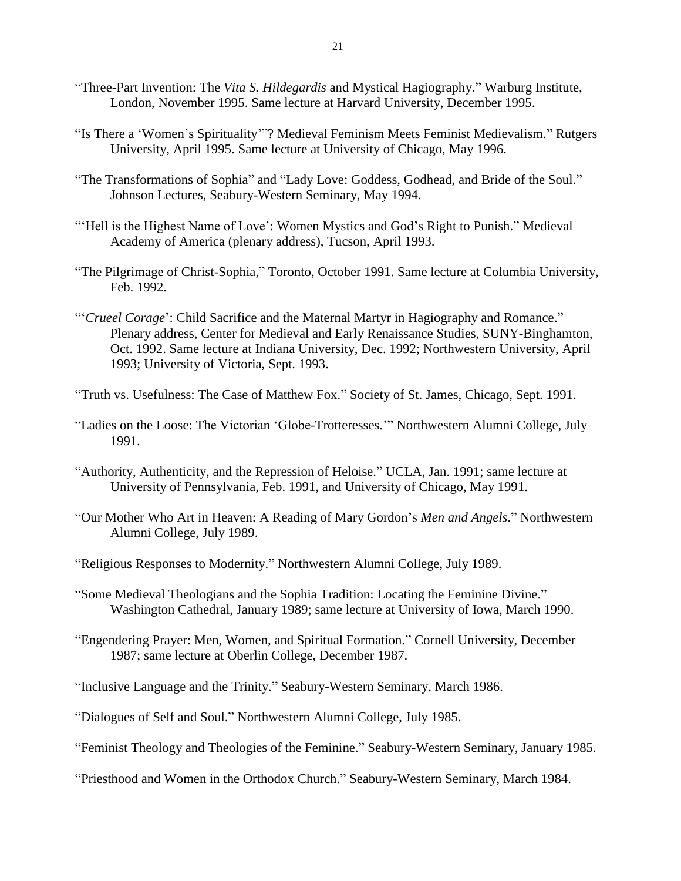- "Three-Part Invention: The *Vita S. Hildegardis* and Mystical Hagiography." Warburg Institute, London, November 1995. Same lecture at Harvard University, December 1995.
- "Is There a 'Women's Spirituality'"? Medieval Feminism Meets Feminist Medievalism." Rutgers University, April 1995. Same lecture at University of Chicago, May 1996.
- "The Transformations of Sophia" and "Lady Love: Goddess, Godhead, and Bride of the Soul." Johnson Lectures, Seabury-Western Seminary, May 1994.
- "Hell is the Highest Name of Love': Women Mystics and God's Right to Punish." Medieval Academy of America (plenary address), Tucson, April 1993.
- "The Pilgrimage of Christ-Sophia," Toronto, October 1991. Same lecture at Columbia University, Feb. 1992.
- "'*Crueel Corage*': Child Sacrifice and the Maternal Martyr in Hagiography and Romance." Plenary address, Center for Medieval and Early Renaissance Studies, SUNY-Binghamton, Oct. 1992. Same lecture at Indiana University, Dec. 1992; Northwestern University, April 1993; University of Victoria, Sept. 1993.
- "Truth vs. Usefulness: The Case of Matthew Fox." Society of St. James, Chicago, Sept. 1991.
- "Ladies on the Loose: The Victorian 'Globe-Trotteresses.'" Northwestern Alumni College, July 1991.
- "Authority, Authenticity, and the Repression of Heloise." UCLA, Jan. 1991; same lecture at University of Pennsylvania, Feb. 1991, and University of Chicago, May 1991.
- "Our Mother Who Art in Heaven: A Reading of Mary Gordon's *Men and Angels*." Northwestern Alumni College, July 1989.
- "Religious Responses to Modernity." Northwestern Alumni College, July 1989.
- "Some Medieval Theologians and the Sophia Tradition: Locating the Feminine Divine." Washington Cathedral, January 1989; same lecture at University of Iowa, March 1990.
- "Engendering Prayer: Men, Women, and Spiritual Formation." Cornell University, December 1987; same lecture at Oberlin College, December 1987.

"Inclusive Language and the Trinity." Seabury-Western Seminary, March 1986.

"Dialogues of Self and Soul." Northwestern Alumni College, July 1985.

"Feminist Theology and Theologies of the Feminine." Seabury-Western Seminary, January 1985.

"Priesthood and Women in the Orthodox Church." Seabury-Western Seminary, March 1984.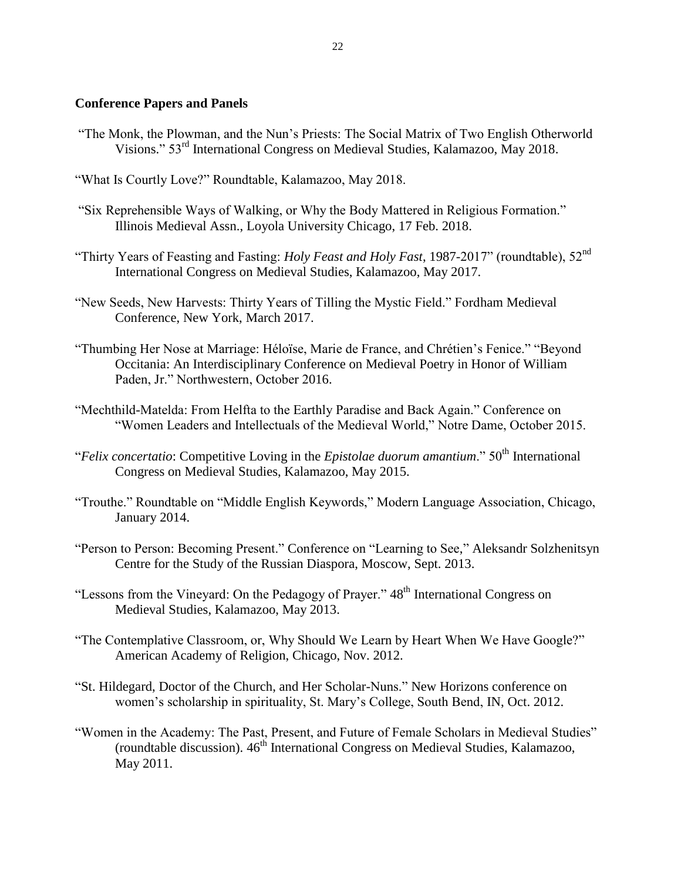## **Conference Papers and Panels**

- "The Monk, the Plowman, and the Nun's Priests: The Social Matrix of Two English Otherworld Visions." 53<sup>rd</sup> International Congress on Medieval Studies, Kalamazoo, May 2018.
- "What Is Courtly Love?" Roundtable, Kalamazoo, May 2018.
- "Six Reprehensible Ways of Walking, or Why the Body Mattered in Religious Formation." Illinois Medieval Assn., Loyola University Chicago, 17 Feb. 2018.
- "Thirty Years of Feasting and Fasting: *Holy Feast and Holy Fast*, 1987-2017" (roundtable), 52nd International Congress on Medieval Studies, Kalamazoo, May 2017.
- "New Seeds, New Harvests: Thirty Years of Tilling the Mystic Field." Fordham Medieval Conference, New York, March 2017.
- "Thumbing Her Nose at Marriage: Héloïse, Marie de France, and Chrétien's Fenice." "Beyond Occitania: An Interdisciplinary Conference on Medieval Poetry in Honor of William Paden, Jr." Northwestern, October 2016.
- "Mechthild-Matelda: From Helfta to the Earthly Paradise and Back Again." Conference on "Women Leaders and Intellectuals of the Medieval World," Notre Dame, October 2015.
- "*Felix concertatio*: Competitive Loving in the *Epistolae duorum amantium*." 50<sup>th</sup> International Congress on Medieval Studies, Kalamazoo, May 2015.
- "Trouthe." Roundtable on "Middle English Keywords," Modern Language Association, Chicago, January 2014.
- "Person to Person: Becoming Present." Conference on "Learning to See," Aleksandr Solzhenitsyn Centre for the Study of the Russian Diaspora, Moscow, Sept. 2013.
- "Lessons from the Vineyard: On the Pedagogy of Prayer." 48<sup>th</sup> International Congress on Medieval Studies, Kalamazoo, May 2013.
- "The Contemplative Classroom, or, Why Should We Learn by Heart When We Have Google?" American Academy of Religion, Chicago, Nov. 2012.
- "St. Hildegard, Doctor of the Church, and Her Scholar-Nuns." New Horizons conference on women's scholarship in spirituality, St. Mary's College, South Bend, IN, Oct. 2012.
- "Women in the Academy: The Past, Present, and Future of Female Scholars in Medieval Studies"  $($ roundtable discussion).  $46<sup>th</sup>$  International Congress on Medieval Studies, Kalamazoo, May 2011.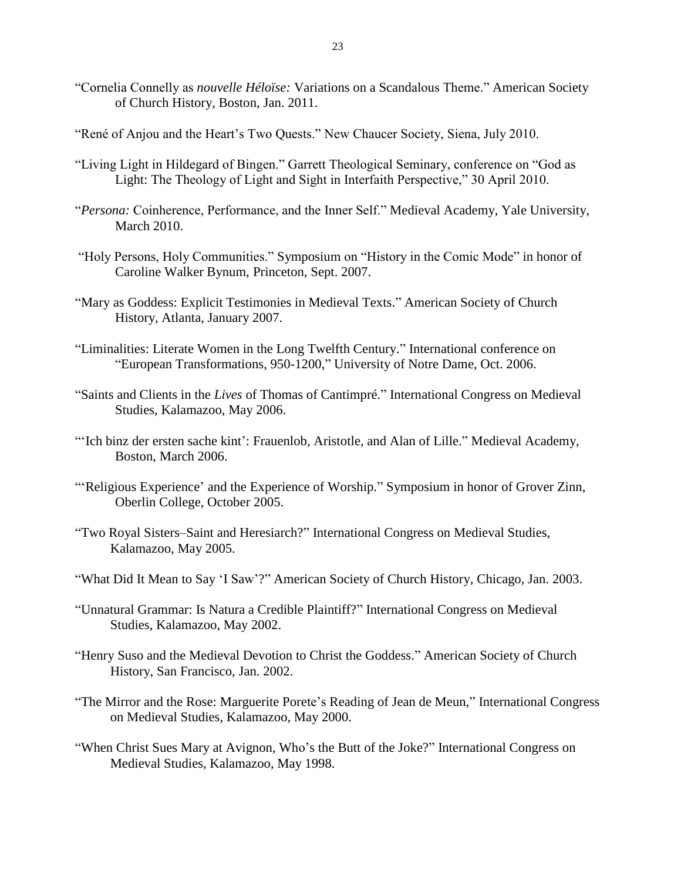- "Cornelia Connelly as *nouvelle Héloïse:* Variations on a Scandalous Theme." American Society of Church History, Boston, Jan. 2011.
- "René of Anjou and the Heart's Two Quests." New Chaucer Society, Siena, July 2010.
- "Living Light in Hildegard of Bingen." Garrett Theological Seminary, conference on "God as Light: The Theology of Light and Sight in Interfaith Perspective," 30 April 2010.
- "*Persona:* Coinherence, Performance, and the Inner Self." Medieval Academy, Yale University, March 2010.
- "Holy Persons, Holy Communities." Symposium on "History in the Comic Mode" in honor of Caroline Walker Bynum, Princeton, Sept. 2007.
- "Mary as Goddess: Explicit Testimonies in Medieval Texts." American Society of Church History, Atlanta, January 2007.
- "Liminalities: Literate Women in the Long Twelfth Century." International conference on "European Transformations, 950-1200," University of Notre Dame, Oct. 2006.
- "Saints and Clients in the *Lives* of Thomas of Cantimpré." International Congress on Medieval Studies, Kalamazoo, May 2006.
- "'Ich binz der ersten sache kint': Frauenlob, Aristotle, and Alan of Lille." Medieval Academy, Boston, March 2006.
- "'Religious Experience' and the Experience of Worship." Symposium in honor of Grover Zinn, Oberlin College, October 2005.
- "Two Royal Sisters–Saint and Heresiarch?" International Congress on Medieval Studies, Kalamazoo, May 2005.
- "What Did It Mean to Say 'I Saw'?" American Society of Church History, Chicago, Jan. 2003.
- "Unnatural Grammar: Is Natura a Credible Plaintiff?" International Congress on Medieval Studies, Kalamazoo, May 2002.
- "Henry Suso and the Medieval Devotion to Christ the Goddess." American Society of Church History, San Francisco, Jan. 2002.
- "The Mirror and the Rose: Marguerite Porete's Reading of Jean de Meun," International Congress on Medieval Studies, Kalamazoo, May 2000.
- "When Christ Sues Mary at Avignon, Who's the Butt of the Joke?" International Congress on Medieval Studies, Kalamazoo, May 1998.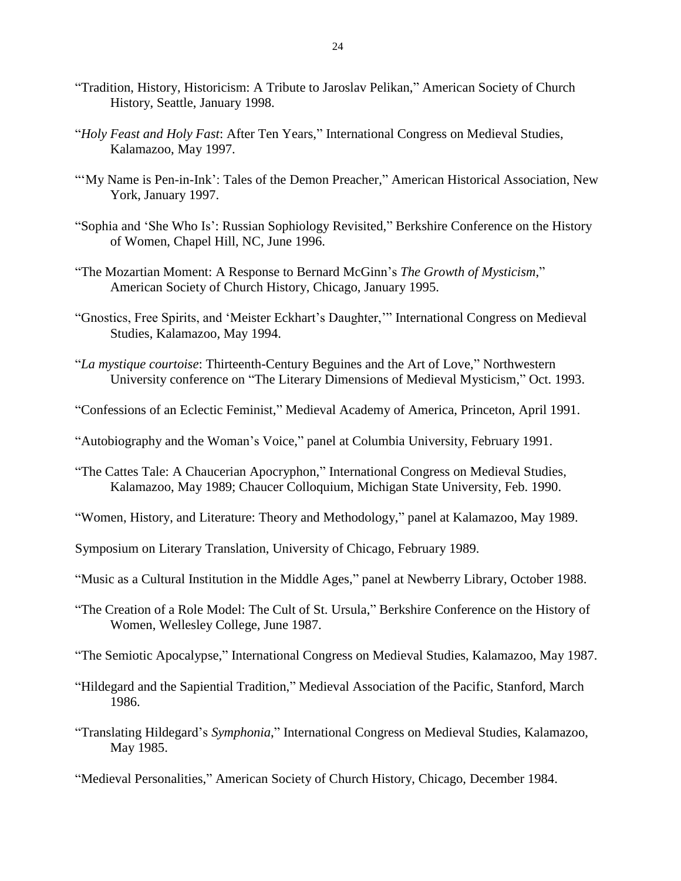- "Tradition, History, Historicism: A Tribute to Jaroslav Pelikan," American Society of Church History, Seattle, January 1998.
- "*Holy Feast and Holy Fast*: After Ten Years," International Congress on Medieval Studies, Kalamazoo, May 1997.
- "'My Name is Pen-in-Ink': Tales of the Demon Preacher," American Historical Association, New York, January 1997.
- "Sophia and 'She Who Is': Russian Sophiology Revisited," Berkshire Conference on the History of Women, Chapel Hill, NC, June 1996.
- "The Mozartian Moment: A Response to Bernard McGinn's *The Growth of Mysticism*," American Society of Church History, Chicago, January 1995.
- "Gnostics, Free Spirits, and 'Meister Eckhart's Daughter,'" International Congress on Medieval Studies, Kalamazoo, May 1994.
- "*La mystique courtoise*: Thirteenth-Century Beguines and the Art of Love," Northwestern University conference on "The Literary Dimensions of Medieval Mysticism," Oct. 1993.
- "Confessions of an Eclectic Feminist," Medieval Academy of America, Princeton, April 1991.
- "Autobiography and the Woman's Voice," panel at Columbia University, February 1991.
- "The Cattes Tale: A Chaucerian Apocryphon," International Congress on Medieval Studies, Kalamazoo, May 1989; Chaucer Colloquium, Michigan State University, Feb. 1990.
- "Women, History, and Literature: Theory and Methodology," panel at Kalamazoo, May 1989.
- Symposium on Literary Translation, University of Chicago, February 1989.
- "Music as a Cultural Institution in the Middle Ages," panel at Newberry Library, October 1988.
- "The Creation of a Role Model: The Cult of St. Ursula," Berkshire Conference on the History of Women, Wellesley College, June 1987.
- "The Semiotic Apocalypse," International Congress on Medieval Studies, Kalamazoo, May 1987.
- "Hildegard and the Sapiential Tradition," Medieval Association of the Pacific, Stanford, March 1986.
- "Translating Hildegard's *Symphonia*," International Congress on Medieval Studies, Kalamazoo, May 1985.
- "Medieval Personalities," American Society of Church History, Chicago, December 1984.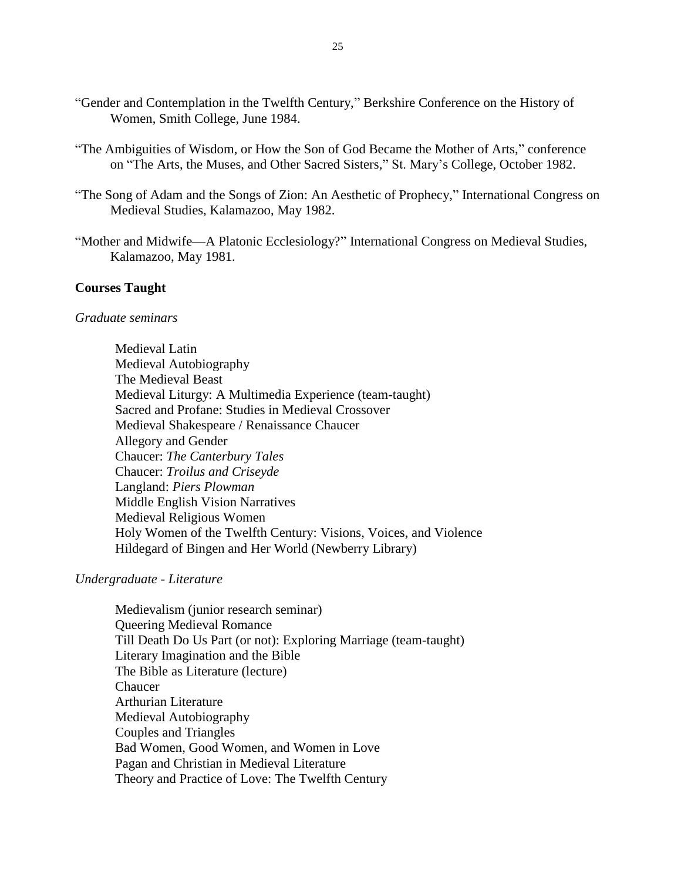- "Gender and Contemplation in the Twelfth Century," Berkshire Conference on the History of Women, Smith College, June 1984.
- "The Ambiguities of Wisdom, or How the Son of God Became the Mother of Arts," conference on "The Arts, the Muses, and Other Sacred Sisters," St. Mary's College, October 1982.
- "The Song of Adam and the Songs of Zion: An Aesthetic of Prophecy," International Congress on Medieval Studies, Kalamazoo, May 1982.
- "Mother and Midwife—A Platonic Ecclesiology?" International Congress on Medieval Studies, Kalamazoo, May 1981.

#### **Courses Taught**

#### *Graduate seminars*

Medieval Latin Medieval Autobiography The Medieval Beast Medieval Liturgy: A Multimedia Experience (team-taught) Sacred and Profane: Studies in Medieval Crossover Medieval Shakespeare / Renaissance Chaucer Allegory and Gender Chaucer: *The Canterbury Tales* Chaucer: *Troilus and Criseyde*  Langland: *Piers Plowman*  Middle English Vision Narratives Medieval Religious Women Holy Women of the Twelfth Century: Visions, Voices, and Violence Hildegard of Bingen and Her World (Newberry Library)

#### *Undergraduate - Literature*

Medievalism (junior research seminar) Queering Medieval Romance Till Death Do Us Part (or not): Exploring Marriage (team-taught) Literary Imagination and the Bible The Bible as Literature (lecture) Chaucer Arthurian Literature Medieval Autobiography Couples and Triangles Bad Women, Good Women, and Women in Love Pagan and Christian in Medieval Literature Theory and Practice of Love: The Twelfth Century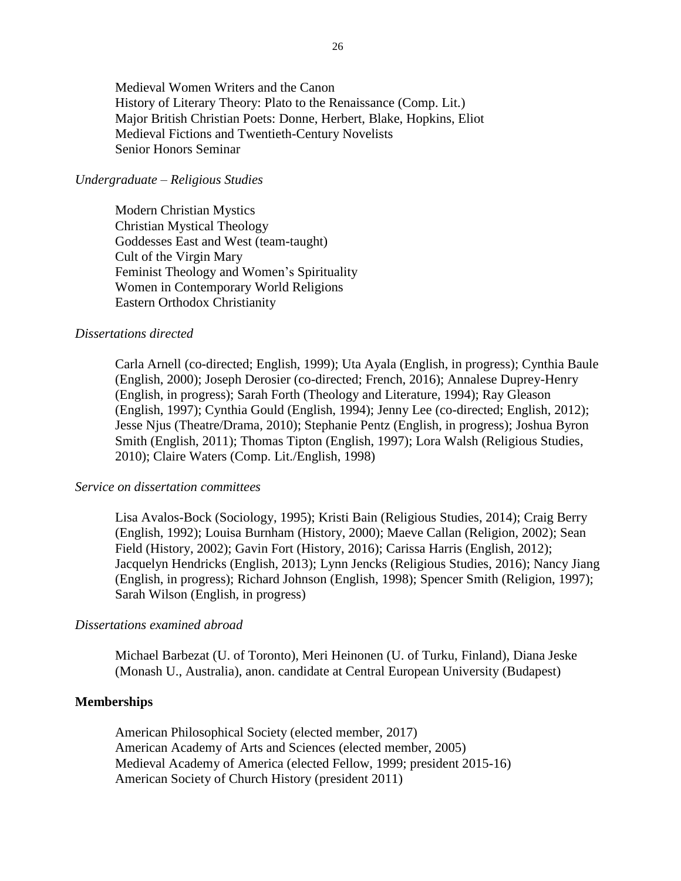Medieval Women Writers and the Canon History of Literary Theory: Plato to the Renaissance (Comp. Lit.) Major British Christian Poets: Donne, Herbert, Blake, Hopkins, Eliot Medieval Fictions and Twentieth-Century Novelists Senior Honors Seminar

#### *Undergraduate – Religious Studies*

Modern Christian Mystics Christian Mystical Theology Goddesses East and West (team-taught) Cult of the Virgin Mary Feminist Theology and Women's Spirituality Women in Contemporary World Religions Eastern Orthodox Christianity

#### *Dissertations directed*

Carla Arnell (co-directed; English, 1999); Uta Ayala (English, in progress); Cynthia Baule (English, 2000); Joseph Derosier (co-directed; French, 2016); Annalese Duprey-Henry (English, in progress); Sarah Forth (Theology and Literature, 1994); Ray Gleason (English, 1997); Cynthia Gould (English, 1994); Jenny Lee (co-directed; English, 2012); Jesse Njus (Theatre/Drama, 2010); Stephanie Pentz (English, in progress); Joshua Byron Smith (English, 2011); Thomas Tipton (English, 1997); Lora Walsh (Religious Studies, 2010); Claire Waters (Comp. Lit./English, 1998)

#### *Service on dissertation committees*

Lisa Avalos-Bock (Sociology, 1995); Kristi Bain (Religious Studies, 2014); Craig Berry (English, 1992); Louisa Burnham (History, 2000); Maeve Callan (Religion, 2002); Sean Field (History, 2002); Gavin Fort (History, 2016); Carissa Harris (English, 2012); Jacquelyn Hendricks (English, 2013); Lynn Jencks (Religious Studies, 2016); Nancy Jiang (English, in progress); Richard Johnson (English, 1998); Spencer Smith (Religion, 1997); Sarah Wilson (English, in progress)

### *Dissertations examined abroad*

Michael Barbezat (U. of Toronto), Meri Heinonen (U. of Turku, Finland), Diana Jeske (Monash U., Australia), anon. candidate at Central European University (Budapest)

#### **Memberships**

American Philosophical Society (elected member, 2017) American Academy of Arts and Sciences (elected member, 2005) Medieval Academy of America (elected Fellow, 1999; president 2015-16) American Society of Church History (president 2011)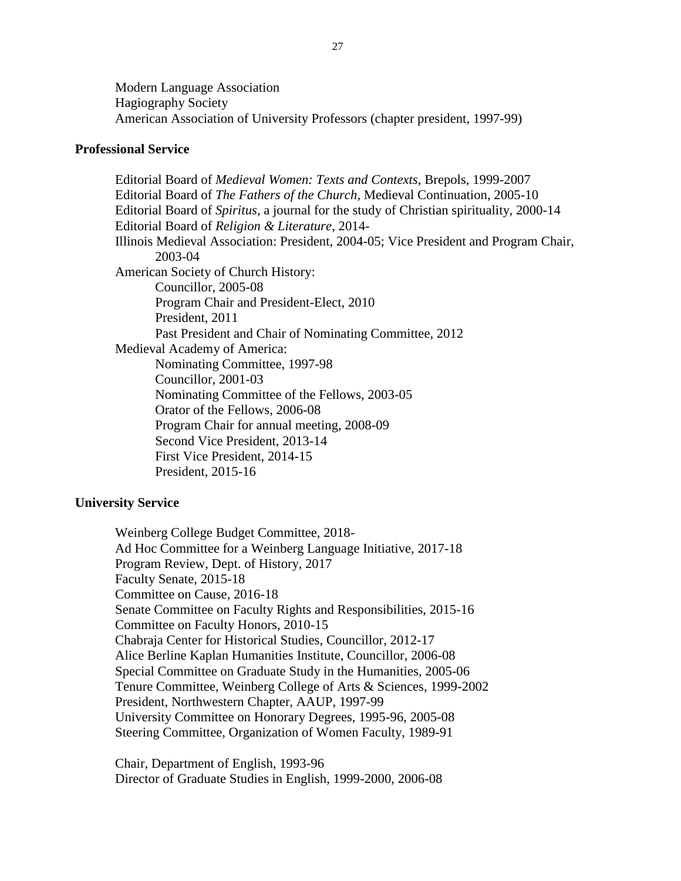Modern Language Association Hagiography Society American Association of University Professors (chapter president, 1997-99)

## **Professional Service**

Editorial Board of *Medieval Women: Texts and Contexts*, Brepols, 1999-2007 Editorial Board of *The Fathers of the Church*, Medieval Continuation, 2005-10 Editorial Board of *Spiritus*, a journal for the study of Christian spirituality, 2000-14 Editorial Board of *Religion & Literature*, 2014- Illinois Medieval Association: President, 2004-05; Vice President and Program Chair, 2003-04 American Society of Church History: Councillor, 2005-08 Program Chair and President-Elect, 2010 President, 2011 Past President and Chair of Nominating Committee, 2012 Medieval Academy of America: Nominating Committee, 1997-98 Councillor, 2001-03 Nominating Committee of the Fellows, 2003-05 Orator of the Fellows, 2006-08 Program Chair for annual meeting, 2008-09 Second Vice President, 2013-14 First Vice President, 2014-15 President, 2015-16

## **University Service**

Weinberg College Budget Committee, 2018- Ad Hoc Committee for a Weinberg Language Initiative, 2017-18 Program Review, Dept. of History, 2017 Faculty Senate, 2015-18 Committee on Cause, 2016-18 Senate Committee on Faculty Rights and Responsibilities, 2015-16 Committee on Faculty Honors, 2010-15 Chabraja Center for Historical Studies, Councillor, 2012-17 Alice Berline Kaplan Humanities Institute, Councillor, 2006-08 Special Committee on Graduate Study in the Humanities, 2005-06 Tenure Committee, Weinberg College of Arts & Sciences, 1999-2002 President, Northwestern Chapter, AAUP, 1997-99 University Committee on Honorary Degrees, 1995-96, 2005-08 Steering Committee, Organization of Women Faculty, 1989-91

Chair, Department of English, 1993-96 Director of Graduate Studies in English, 1999-2000, 2006-08